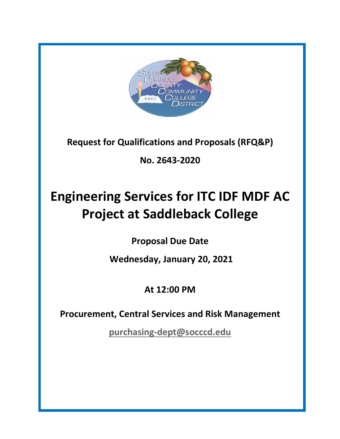

**Request for Qualifications and Proposals (RFQ&P)**

**No. 2643-2020**

# **Engineering Services for ITC IDF MDF AC Project at Saddleback College**

**Proposal Due Date**

**Wednesday, January 20, 2021**

# **At 12:00 PM**

**Procurement, Central Services and Risk Management**

**purchasing-dept@socccd.edu**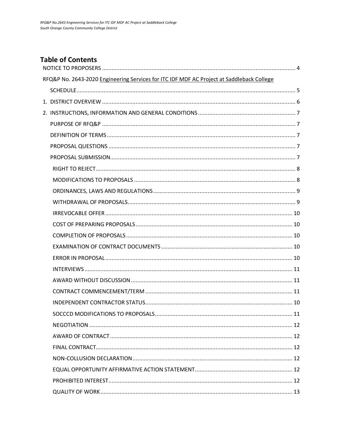# **Table of Contents**

| RFQ&P No. 2643-2020 Engineering Services for ITC IDF MDF AC Project at Saddleback College |  |
|-------------------------------------------------------------------------------------------|--|
|                                                                                           |  |
|                                                                                           |  |
|                                                                                           |  |
|                                                                                           |  |
|                                                                                           |  |
|                                                                                           |  |
|                                                                                           |  |
|                                                                                           |  |
|                                                                                           |  |
|                                                                                           |  |
|                                                                                           |  |
|                                                                                           |  |
|                                                                                           |  |
|                                                                                           |  |
|                                                                                           |  |
|                                                                                           |  |
|                                                                                           |  |
|                                                                                           |  |
|                                                                                           |  |
|                                                                                           |  |
|                                                                                           |  |
|                                                                                           |  |
|                                                                                           |  |
|                                                                                           |  |
|                                                                                           |  |
|                                                                                           |  |
|                                                                                           |  |
|                                                                                           |  |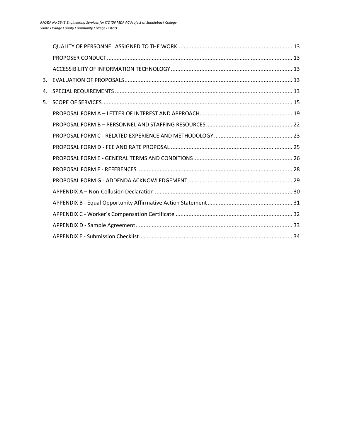| 3. |  |
|----|--|
| 4. |  |
| 5. |  |
|    |  |
|    |  |
|    |  |
|    |  |
|    |  |
|    |  |
|    |  |
|    |  |
|    |  |
|    |  |
|    |  |
|    |  |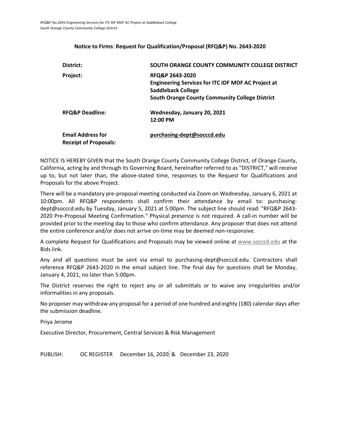#### **Notice to Firms**: **Request for Qualification/Proposal (RFQ&P) No. 2643-2020**

| District:                                                | SOUTH ORANGE COUNTY COMMUNITY COLLEGE DISTRICT                                                                                                              |
|----------------------------------------------------------|-------------------------------------------------------------------------------------------------------------------------------------------------------------|
| Project:                                                 | RFQ&P 2643-2020<br><b>Engineering Services for ITC IDF MDF AC Project at</b><br>Saddleback College<br><b>South Orange County Community College District</b> |
| <b>RFQ&amp;P Deadline:</b>                               | Wednesday, January 20, 2021<br>12:00 PM                                                                                                                     |
| <b>Email Address for</b><br><b>Receipt of Proposals:</b> | purchasing-dept@socccd.edu                                                                                                                                  |

NOTICE IS HEREBY GIVEN that the South Orange County Community College District, of Orange County, California, acting by and through its Governing Board, hereinafter referred to as "DISTRICT," will receive up to, but not later than, the above-stated time, responses to the Request for Qualifications and Proposals for the above Project.

There will be a mandatory pre-proposal meeting conducted via Zoom on Wednesday, January 6, 2021 at 10:00pm. All RFQ&P respondents shall confirm their attendance by email to: purchasingdept@socccd.edu by Tuesday, January 5, 2021 at 5:00pm. The subject line should read: "RFQ&P 2643- 2020 Pre-Proposal Meeting Confirmation." Physical presence is not required. A call-in number will be provided prior to the meeting day to those who confirm attendance. Any proposer that does not attend the entire conference and/or does not arrive on-time may be deemed non-responsive.

A complete Request for Qualifications and Proposals may be viewed online at www.socccd.edu at the Bids link.

Any and all questions must be sent via email to purchasing-dept@socccd.edu. Contractors shall reference RFQ&P 2643-2020 in the email subject line. The final day for questions shall be Monday, January 4, 2021, no later than 5:00pm.

The District reserves the right to reject any or all submittals or to waive any irregularities and/or informalities in any proposals.

No proposer may withdraw any proposal for a period of one hundred and eighty (180) calendar days after the submission deadline.

Priya Jerome

Executive Director, Procurement, Central Services & Risk Management

PUBLISH: OC REGISTER December 16, 2020 & December 23, 2020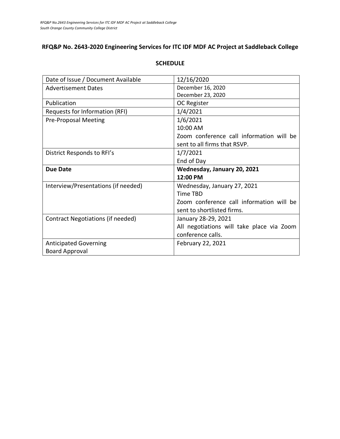# **RFQ&P No. 2643-2020 Engineering Services for ITC IDF MDF AC Project at Saddleback College**

| Date of Issue / Document Available  | 12/16/2020                                |
|-------------------------------------|-------------------------------------------|
| <b>Advertisement Dates</b>          | December 16, 2020                         |
|                                     | December 23, 2020                         |
| Publication                         | OC Register                               |
| Requests for Information (RFI)      | 1/4/2021                                  |
| <b>Pre-Proposal Meeting</b>         | 1/6/2021                                  |
|                                     | 10:00 AM                                  |
|                                     | Zoom conference call information will be  |
|                                     | sent to all firms that RSVP.              |
| District Responds to RFI's          | 1/7/2021                                  |
|                                     | End of Day                                |
|                                     |                                           |
| <b>Due Date</b>                     | Wednesday, January 20, 2021               |
|                                     | 12:00 PM                                  |
| Interview/Presentations (if needed) | Wednesday, January 27, 2021               |
|                                     | <b>Time TBD</b>                           |
|                                     | Zoom conference call information will be  |
|                                     | sent to shortlisted firms.                |
| Contract Negotiations (if needed)   | January 28-29, 2021                       |
|                                     | All negotiations will take place via Zoom |
|                                     | conference calls.                         |
| <b>Anticipated Governing</b>        | February 22, 2021                         |

#### **SCHEDULE**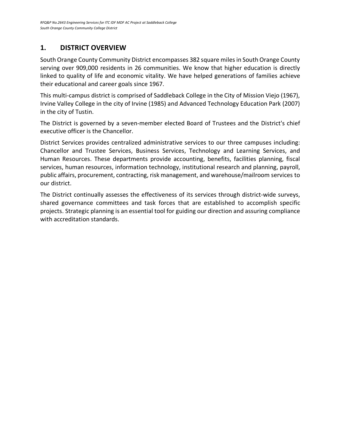# **1. DISTRICT OVERVIEW**

South Orange County Community District encompasses 382 square miles in South Orange County serving over 909,000 residents in 26 communities. We know that higher education is directly linked to quality of life and economic vitality. We have helped generations of families achieve their educational and career goals since 1967.

This multi-campus district is comprised of Saddleback College in the City of Mission Viejo (1967), Irvine Valley College in the city of Irvine (1985) and Advanced Technology Education Park (2007) in the city of Tustin.

The District is governed by a seven-member elected Board of Trustees and the District's chief executive officer is the Chancellor.

District Services provides centralized administrative services to our three campuses including: Chancellor and Trustee Services, Business Services, Technology and Learning Services, and Human Resources. These departments provide accounting, benefits, facilities planning, fiscal services, human resources, information technology, institutional research and planning, payroll, public affairs, procurement, contracting, risk management, and warehouse/mailroom services to our district.

The District continually assesses the effectiveness of its services through district-wide surveys, shared governance committees and task forces that are established to accomplish specific projects. Strategic planning is an essential tool for guiding our direction and assuring compliance with accreditation standards.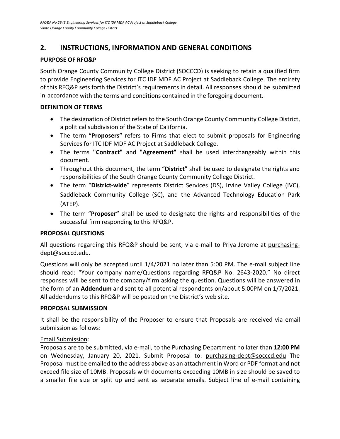# **2. INSTRUCTIONS, INFORMATION AND GENERAL CONDITIONS**

## **PURPOSE OF RFQ&P**

South Orange County Community College District (SOCCCD) is seeking to retain a qualified firm to provide Engineering Services for ITC IDF MDF AC Project at Saddleback College. The entirety of this RFQ&P sets forth the District's requirements in detail. All responses should be submitted in accordance with the terms and conditions contained in the foregoing document.

#### **DEFINITION OF TERMS**

- The designation of District refers to the South Orange County Community College District, a political subdivision of the State of California.
- The term "**Proposers"** refers to Firms that elect to submit proposals for Engineering Services for ITC IDF MDF AC Project at Saddleback College.
- The terms **"Contract"** and **"Agreement"** shall be used interchangeably within this document.
- Throughout this document, the term "**District"** shall be used to designate the rights and responsibilities of the South Orange County Community College District.
- The term "**District-wide**" represents District Services (DS), Irvine Valley College (IVC), Saddleback Community College (SC), and the Advanced Technology Education Park (ATEP).
- The term "**Proposer"** shall be used to designate the rights and responsibilities of the successful firm responding to this RFQ&P.

#### **PROPOSAL QUESTIONS**

All questions regarding this RFQ&P should be sent, via e-mail to Priya Jerome at purchasingdept@socccd.edu.

Questions will only be accepted until 1/4/2021 no later than 5:00 PM. The e-mail subject line should read: "Your company name/Questions regarding RFQ&P No. 2643-2020." No direct responses will be sent to the company/firm asking the question. Questions will be answered in the form of an **Addendum** and sent to all potential respondents on/about 5:00PM on 1/7/2021. All addendums to this RFQ&P will be posted on the District's web site.

#### **PROPOSAL SUBMISSION**

It shall be the responsibility of the Proposer to ensure that Proposals are received via email submission as follows:

## Email Submission:

Proposals are to be submitted, via e-mail, to the Purchasing Department no later than **12:00 PM** on Wednesday, January 20, 2021. Submit Proposal to: purchasing-dept@socccd.edu The Proposal must be emailed to the address above as an attachment in Word or PDF format and not exceed file size of 10MB. Proposals with documents exceeding 10MB in size should be saved to a smaller file size or split up and sent as separate emails. Subject line of e-mail containing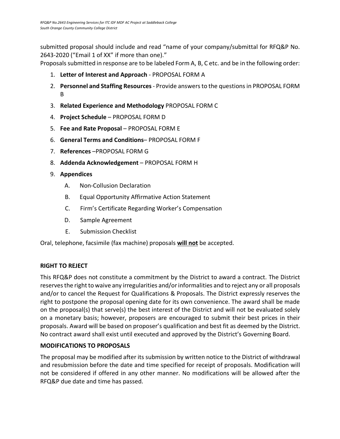submitted proposal should include and read "name of your company/submittal for RFQ&P No. 2643-2020 ("Email 1 of XX" if more than one)."

Proposals submitted in response are to be labeled Form A, B, C etc. and be in the following order:

- 1. **Letter of Interest and Approach** PROPOSAL FORM A
- 2. **Personnel and Staffing Resources** Provide answers to the questions in PROPOSAL FORM B
- 3. **Related Experience and Methodology** PROPOSAL FORM C
- 4. **Project Schedule** PROPOSAL FORM D
- 5. **Fee and Rate Proposal** PROPOSAL FORM E
- 6. **General Terms and Conditions** PROPOSAL FORM F
- 7. **References** –PROPOSAL FORM G
- 8. **Addenda Acknowledgement** PROPOSAL FORM H
- 9. **Appendices**
	- A. Non-Collusion Declaration
	- B. Equal Opportunity Affirmative Action Statement
	- C. Firm's Certificate Regarding Worker's Compensation
	- D. Sample Agreement
	- E. Submission Checklist

Oral, telephone, facsimile (fax machine) proposals **will not** be accepted.

#### **RIGHT TO REJECT**

This RFQ&P does not constitute a commitment by the District to award a contract. The District reserves the right to waive any irregularities and/or informalities and to reject any or all proposals and/or to cancel the Request for Qualifications & Proposals. The District expressly reserves the right to postpone the proposal opening date for its own convenience. The award shall be made on the proposal(s) that serve(s) the best interest of the District and will not be evaluated solely on a monetary basis; however, proposers are encouraged to submit their best prices in their proposals. Award will be based on proposer's qualification and best fit as deemed by the District. No contract award shall exist until executed and approved by the District's Governing Board.

#### **MODIFICATIONS TO PROPOSALS**

The proposal may be modified after its submission by written notice to the District of withdrawal and resubmission before the date and time specified for receipt of proposals. Modification will not be considered if offered in any other manner. No modifications will be allowed after the RFQ&P due date and time has passed.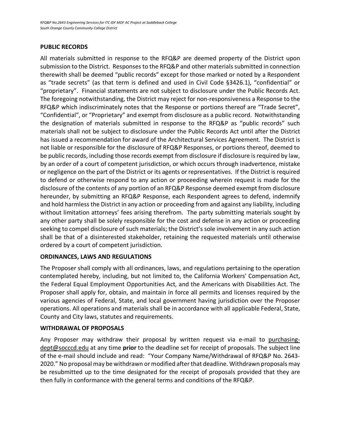## **PUBLIC RECORDS**

All materials submitted in response to the RFQ&P are deemed property of the District upon submission to the District. Responses to the RFQ&P and other materials submitted in connection therewith shall be deemed "public records" except for those marked or noted by a Respondent as "trade secrets" (as that term is defined and used in Civil Code §3426.1), "confidential" or "proprietary". Financial statements are not subject to disclosure under the Public Records Act. The foregoing notwithstanding, the District may reject for non-responsiveness a Response to the RFQ&P which indiscriminately notes that the Response or portions thereof are "Trade Secret", "Confidential", or "Proprietary" and exempt from disclosure as a public record. Notwithstanding the designation of materials submitted in response to the RFQ&P as "public records" such materials shall not be subject to disclosure under the Public Records Act until after the District has issued a recommendation for award of the Architectural Services Agreement. The District is not liable or responsible for the disclosure of RFQ&P Responses, or portions thereof, deemed to be public records, including those records exempt from disclosure if disclosure is required by law, by an order of a court of competent jurisdiction, or which occurs through inadvertence, mistake or negligence on the part of the District or its agents or representatives. If the District is required to defend or otherwise respond to any action or proceeding wherein request is made for the disclosure of the contents of any portion of an RFQ&P Response deemed exempt from disclosure hereunder, by submitting an RFQ&P Response, each Respondent agrees to defend, indemnify and hold harmless the District in any action or proceeding from and against any liability, including without limitation attorneys' fees arising therefrom. The party submitting materials sought by any other party shall be solely responsible for the cost and defense in any action or proceeding seeking to compel disclosure of such materials; the District's sole involvement in any such action shall be that of a disinterested stakeholder, retaining the requested materials until otherwise ordered by a court of competent jurisdiction.

## **ORDINANCES, LAWS AND REGULATIONS**

The Proposer shall comply with all ordinances, laws, and regulations pertaining to the operation contemplated hereby, including, but not limited to, the California Workers' Compensation Act, the Federal Equal Employment Opportunities Act, and the Americans with Disabilities Act. The Proposer shall apply for, obtain, and maintain in force all permits and licenses required by the various agencies of Federal, State, and local government having jurisdiction over the Proposer operations. All operations and materials shall be in accordance with all applicable Federal, State, County and City laws, statutes and requirements.

#### **WITHDRAWAL OF PROPOSALS**

Any Proposer may withdraw their proposal by written request via e-mail to purchasingdept@socccd.edu at any time **prior** to the deadline set for receipt of proposals. The subject line of the e-mail should include and read: "Your Company Name/Withdrawal of RFQ&P No. 2643- 2020." No proposal may be withdrawn or modified after that deadline. Withdrawn proposals may be resubmitted up to the time designated for the receipt of proposals provided that they are then fully in conformance with the general terms and conditions of the RFQ&P.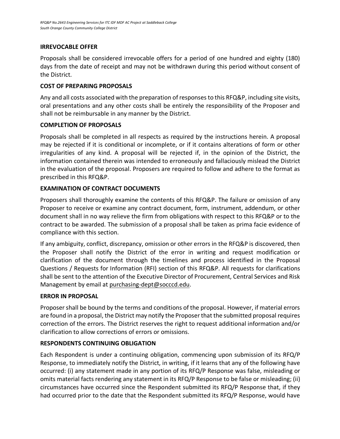## **IRREVOCABLE OFFER**

Proposals shall be considered irrevocable offers for a period of one hundred and eighty (180) days from the date of receipt and may not be withdrawn during this period without consent of the District.

#### **COST OF PREPARING PROPOSALS**

Any and all costs associated with the preparation of responses to this RFQ&P, including site visits, oral presentations and any other costs shall be entirely the responsibility of the Proposer and shall not be reimbursable in any manner by the District.

## **COMPLETION OF PROPOSALS**

Proposals shall be completed in all respects as required by the instructions herein. A proposal may be rejected if it is conditional or incomplete, or if it contains alterations of form or other irregularities of any kind. A proposal will be rejected if, in the opinion of the District, the information contained therein was intended to erroneously and fallaciously mislead the District in the evaluation of the proposal. Proposers are required to follow and adhere to the format as prescribed in this RFQ&P.

## **EXAMINATION OF CONTRACT DOCUMENTS**

Proposers shall thoroughly examine the contents of this RFQ&P. The failure or omission of any Proposer to receive or examine any contract document, form, instrument, addendum, or other document shall in no way relieve the firm from obligations with respect to this RFQ&P or to the contract to be awarded. The submission of a proposal shall be taken as prima facie evidence of compliance with this section.

If any ambiguity, conflict, discrepancy, omission or other errors in the RFQ&P is discovered, then the Proposer shall notify the District of the error in writing and request modification or clarification of the document through the timelines and process identified in the Proposal Questions / Requests for Information (RFI) section of this RFQ&P. All requests for clarifications shall be sent to the attention of the Executive Director of Procurement, Central Services and Risk Management by email at purchasing-dept@socccd.edu.

## **ERROR IN PROPOSAL**

Proposer shall be bound by the terms and conditions of the proposal. However, if material errors are found in a proposal, the District may notify the Proposer that the submitted proposal requires correction of the errors. The District reserves the right to request additional information and/or clarification to allow corrections of errors or omissions.

## **RESPONDENTS CONTINUING OBLIGATION**

Each Respondent is under a continuing obligation, commencing upon submission of its RFQ/P Response, to immediately notify the District, in writing, if it learns that any of the following have occurred: (i) any statement made in any portion of its RFQ/P Response was false, misleading or omits material facts rendering any statement in its RFQ/P Response to be false or misleading; (ii) circumstances have occurred since the Respondent submitted its RFQ/P Response that, if they had occurred prior to the date that the Respondent submitted its RFQ/P Response, would have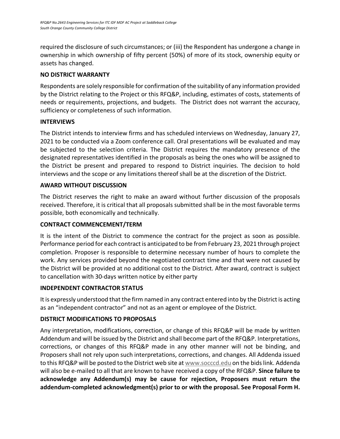required the disclosure of such circumstances; or (iii) the Respondent has undergone a change in ownership in which ownership of fifty percent (50%) of more of its stock, ownership equity or assets has changed.

## **NO DISTRICT WARRANTY**

Respondents are solely responsible for confirmation of the suitability of any information provided by the District relating to the Project or this RFQ&P, including, estimates of costs, statements of needs or requirements, projections, and budgets. The District does not warrant the accuracy, sufficiency or completeness of such information.

## **INTERVIEWS**

The District intends to interview firms and has scheduled interviews on Wednesday, January 27, 2021 to be conducted via a Zoom conference call. Oral presentations will be evaluated and may be subjected to the selection criteria. The District requires the mandatory presence of the designated representatives identified in the proposals as being the ones who will be assigned to the District be present and prepared to respond to District inquiries. The decision to hold interviews and the scope or any limitations thereof shall be at the discretion of the District.

## **AWARD WITHOUT DISCUSSION**

The District reserves the right to make an award without further discussion of the proposals received. Therefore, it is critical that all proposals submitted shall be in the most favorable terms possible, both economically and technically.

# **CONTRACT COMMENCEMENT/TERM**

It is the intent of the District to commence the contract for the project as soon as possible. Performance period for each contract is anticipated to be from February 23, 2021 through project completion. Proposer is responsible to determine necessary number of hours to complete the work. Any services provided beyond the negotiated contract time and that were not caused by the District will be provided at no additional cost to the District. After award, contract is subject to cancellation with 30-days written notice by either party

# **INDEPENDENT CONTRACTOR STATUS**

It is expressly understood that the firm named in any contract entered into by the District is acting as an "independent contractor" and not as an agent or employee of the District.

# **DISTRICT MODIFICATIONS TO PROPOSALS**

Any interpretation, modifications, correction, or change of this RFQ&P will be made by written Addendum and will be issued by the District and shall become part of the RFQ&P. Interpretations, corrections, or changes of this RFQ&P made in any other manner will not be binding, and Proposers shall not rely upon such interpretations, corrections, and changes. All Addenda issued to this RFQ&P will be posted to the District web site at www.socccd.edu on the bids link. Addenda will also be e-mailed to all that are known to have received a copy of the RFQ&P. **Since failure to acknowledge any Addendum(s) may be cause for rejection, Proposers must return the addendum-completed acknowledgment(s) prior to or with the proposal. See Proposal Form H.**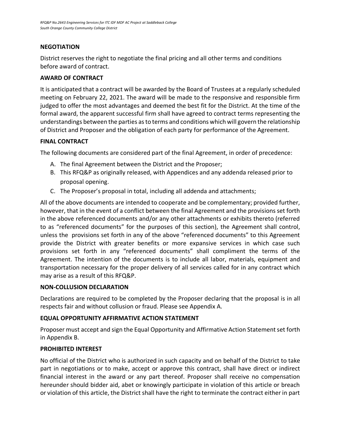## **NEGOTIATION**

District reserves the right to negotiate the final pricing and all other terms and conditions before award of contract.

#### **AWARD OF CONTRACT**

It is anticipated that a contract will be awarded by the Board of Trustees at a regularly scheduled meeting on February 22, 2021. The award will be made to the responsive and responsible firm judged to offer the most advantages and deemed the best fit for the District. At the time of the formal award, the apparent successful firm shall have agreed to contract terms representing the understandings between the parties as to terms and conditions which will govern the relationship of District and Proposer and the obligation of each party for performance of the Agreement.

#### **FINAL CONTRACT**

The following documents are considered part of the final Agreement, in order of precedence:

- A. The final Agreement between the District and the Proposer;
- B. This RFQ&P as originally released, with Appendices and any addenda released prior to proposal opening.
- C. The Proposer's proposal in total, including all addenda and attachments;

All of the above documents are intended to cooperate and be complementary; provided further, however, that in the event of a conflict between the final Agreement and the provisions set forth in the above referenced documents and/or any other attachments or exhibits thereto (referred to as "referenced documents" for the purposes of this section), the Agreement shall control, unless the provisions set forth in any of the above "referenced documents" to this Agreement provide the District with greater benefits or more expansive services in which case such provisions set forth in any "referenced documents" shall compliment the terms of the Agreement. The intention of the documents is to include all labor, materials, equipment and transportation necessary for the proper delivery of all services called for in any contract which may arise as a result of this RFQ&P.

#### **NON-COLLUSION DECLARATION**

Declarations are required to be completed by the Proposer declaring that the proposal is in all respects fair and without collusion or fraud. Please see Appendix A.

#### **EQUAL OPPORTUNITY AFFIRMATIVE ACTION STATEMENT**

Proposer must accept and sign the Equal Opportunity and Affirmative Action Statement set forth in Appendix B.

#### **PROHIBITED INTEREST**

No official of the District who is authorized in such capacity and on behalf of the District to take part in negotiations or to make, accept or approve this contract, shall have direct or indirect financial interest in the award or any part thereof. Proposer shall receive no compensation hereunder should bidder aid, abet or knowingly participate in violation of this article or breach or violation of this article, the District shall have the right to terminate the contract either in part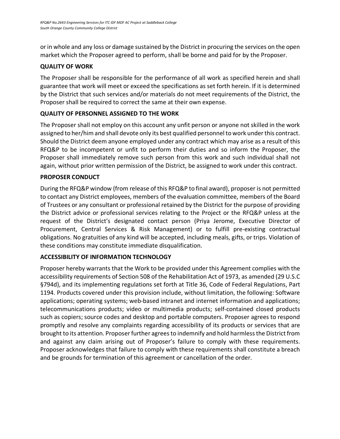or in whole and any loss or damage sustained by the District in procuring the services on the open market which the Proposer agreed to perform, shall be borne and paid for by the Proposer.

## **QUALITY OF WORK**

The Proposer shall be responsible for the performance of all work as specified herein and shall guarantee that work will meet or exceed the specifications as set forth herein. If it is determined by the District that such services and/or materials do not meet requirements of the District, the Proposer shall be required to correct the same at their own expense.

## **QUALITY OF PERSONNEL ASSIGNED TO THE WORK**

The Proposer shall not employ on this account any unfit person or anyone not skilled in the work assigned to her/him and shall devote only its best qualified personnel to work under this contract. Should the District deem anyone employed under any contract which may arise as a result of this RFQ&P to be incompetent or unfit to perform their duties and so inform the Proposer, the Proposer shall immediately remove such person from this work and such individual shall not again, without prior written permission of the District, be assigned to work under this contract.

## **PROPOSER CONDUCT**

During the RFQ&P window (from release of this RFQ&P to final award), proposer is not permitted to contact any District employees, members of the evaluation committee, members of the Board of Trustees or any consultant or professional retained by the District for the purpose of providing the District advice or professional services relating to the Project or the RFQ&P unless at the request of the District's designated contact person (Priya Jerome, Executive Director of Procurement, Central Services & Risk Management) or to fulfill pre-existing contractual obligations. No gratuities of any kind will be accepted, including meals, gifts, or trips. Violation of these conditions may constitute immediate disqualification.

## **ACCESSIBILITY OF INFORMATION TECHNOLOGY**

Proposer hereby warrants that the Work to be provided under this Agreement complies with the accessibility requirements of Section 508 of the Rehabilitation Act of 1973, as amended (29 U.S.C §794d), and its implementing regulations set forth at Title 36, Code of Federal Regulations, Part 1194. Products covered under this provision include, without limitation, the following: Software applications; operating systems; web-based intranet and internet information and applications; telecommunications products; video or multimedia products; self-contained closed products such as copiers; source codes and desktop and portable computers. Proposer agrees to respond promptly and resolve any complaints regarding accessibility of its products or services that are brought to its attention. Proposer further agrees to indemnify and hold harmless the District from and against any claim arising out of Proposer's failure to comply with these requirements. Proposer acknowledges that failure to comply with these requirements shall constitute a breach and be grounds for termination of this agreement or cancellation of the order.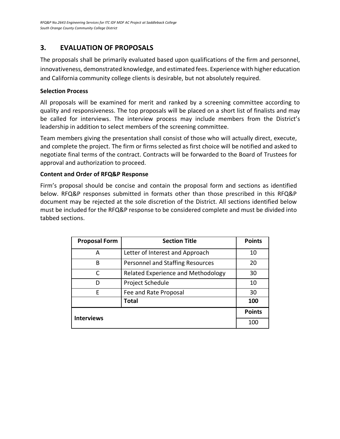# **3. EVALUATION OF PROPOSALS**

The proposals shall be primarily evaluated based upon qualifications of the firm and personnel, innovativeness, demonstrated knowledge, and estimated fees. Experience with higher education and California community college clients is desirable, but not absolutely required.

#### **Selection Process**

All proposals will be examined for merit and ranked by a screening committee according to quality and responsiveness. The top proposals will be placed on a short list of finalists and may be called for interviews. The interview process may include members from the District's leadership in addition to select members of the screening committee.

Team members giving the presentation shall consist of those who will actually direct, execute, and complete the project. The firm or firms selected as first choice will be notified and asked to negotiate final terms of the contract. Contracts will be forwarded to the Board of Trustees for approval and authorization to proceed.

#### **Content and Order of RFQ&P Response**

Firm's proposal should be concise and contain the proposal form and sections as identified below. RFQ&P responses submitted in formats other than those prescribed in this RFQ&P document may be rejected at the sole discretion of the District. All sections identified below must be included for the RFQ&P response to be considered complete and must be divided into tabbed sections.

| <b>Proposal Form</b> | <b>Section Title</b>               | <b>Points</b> |
|----------------------|------------------------------------|---------------|
| A                    | Letter of Interest and Approach    | 10            |
| B                    | Personnel and Staffing Resources   | 20            |
| C                    | Related Experience and Methodology | 30            |
| D                    | Project Schedule                   | 10            |
| F                    | Fee and Rate Proposal              | 30            |
|                      | <b>Total</b>                       | 100           |
| <b>Interviews</b>    |                                    | <b>Points</b> |
|                      |                                    | 100           |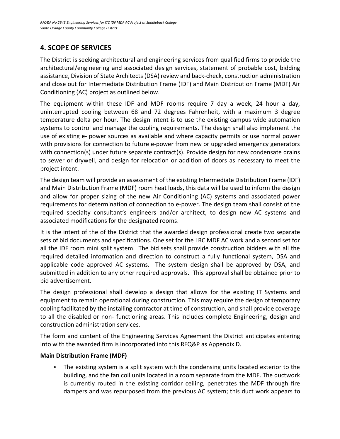# **4. SCOPE OF SERVICES**

The District is seeking architectural and engineering services from qualified firms to provide the architectural/engineering and associated design services, statement of probable cost, bidding assistance, Division of State Architects (DSA) review and back-check, construction administration and close out for Intermediate Distribution Frame (IDF) and Main Distribution Frame (MDF) Air Conditioning (AC) project as outlined below.

The equipment within these IDF and MDF rooms require 7 day a week, 24 hour a day, uninterrupted cooling between 68 and 72 degrees Fahrenheit, with a maximum 3 degree temperature delta per hour. The design intent is to use the existing campus wide automation systems to control and manage the cooling requirements. The design shall also implement the use of existing e- power sources as available and where capacity permits or use normal power with provisions for connection to future e-power from new or upgraded emergency generators with connection(s) under future separate contract(s). Provide design for new condensate drains to sewer or drywell, and design for relocation or addition of doors as necessary to meet the project intent.

The design team will provide an assessment of the existing Intermediate Distribution Frame (IDF) and Main Distribution Frame (MDF) room heat loads, this data will be used to inform the design and allow for proper sizing of the new Air Conditioning (AC) systems and associated power requirements for determination of connection to e-power. The design team shall consist of the required specialty consultant's engineers and/or architect, to design new AC systems and associated modifications for the designated rooms.

It is the intent of the of the District that the awarded design professional create two separate sets of bid documents and specifications. One set for the LRC MDF AC work and a second set for all the IDF room mini split system. The bid sets shall provide construction bidders with all the required detailed information and direction to construct a fully functional system, DSA and applicable code approved AC systems. The system design shall be approved by DSA, and submitted in addition to any other required approvals. This approval shall be obtained prior to bid advertisement.

The design professional shall develop a design that allows for the existing IT Systems and equipment to remain operational during construction. This may require the design of temporary cooling facilitated by the installing contractor at time of construction, and shall provide coverage to all the disabled or non- functioning areas. This includes complete Engineering, design and construction administration services.

The form and content of the Engineering Services Agreement the District anticipates entering into with the awarded firm is incorporated into this RFQ&P as Appendix D.

## **Main Distribution Frame (MDF)**

The existing system is a split system with the condensing units located exterior to the building, and the fan coil units located in a room separate from the MDF. The ductwork is currently routed in the existing corridor ceiling, penetrates the MDF through fire dampers and was repurposed from the previous AC system; this duct work appears to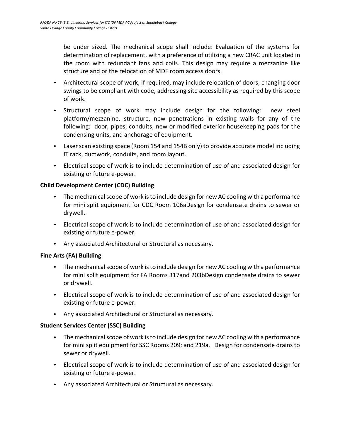be under sized. The mechanical scope shall include: Evaluation of the systems for determination of replacement, with a preference of utilizing a new CRAC unit located in the room with redundant fans and coils. This design may require a mezzanine like structure and or the relocation of MDF room access doors.

- Architectural scope of work, if required, may include relocation of doors, changing door swings to be compliant with code, addressing site accessibility as required by this scope of work.
- Structural scope of work may include design for the following: new steel platform/mezzanine, structure, new penetrations in existing walls for any of the following: door, pipes, conduits, new or modified exterior housekeeping pads for the condensing units, and anchorage of equipment.
- Laser scan existing space (Room 154 and 154B only) to provide accurate model including IT rack, ductwork, conduits, and room layout.
- Electrical scope of work is to include determination of use of and associated design for existing or future e-power.

## **Child Development Center (CDC) Building**

- The mechanical scope of work is to include design for new AC cooling with a performance for mini split equipment for CDC Room 106aDesign for condensate drains to sewer or drywell.
- Electrical scope of work is to include determination of use of and associated design for existing or future e-power.
- Any associated Architectural or Structural as necessary.

## **Fine Arts (FA) Building**

- The mechanical scope of work is to include design for new AC cooling with a performance for mini split equipment for FA Rooms 317and 203bDesign condensate drains to sewer or drywell.
- Electrical scope of work is to include determination of use of and associated design for existing or future e-power.
- Any associated Architectural or Structural as necessary.

## **Student Services Center (SSC) Building**

- The mechanical scope of work is to include design for new AC cooling with a performance for mini split equipment for SSC Rooms 209: and 219a. Design for condensate drains to sewer or drywell.
- Electrical scope of work is to include determination of use of and associated design for existing or future e-power.
- Any associated Architectural or Structural as necessary.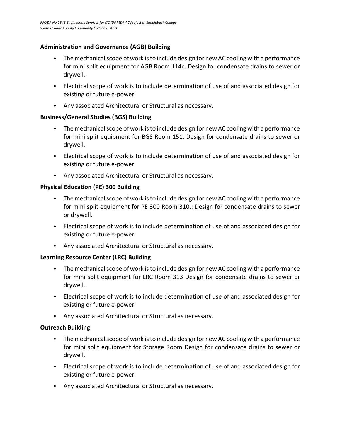## **Administration and Governance (AGB) Building**

- The mechanical scope of work is to include design for new AC cooling with a performance for mini split equipment for AGB Room 114c. Design for condensate drains to sewer or drywell.
- Electrical scope of work is to include determination of use of and associated design for existing or future e-power.
- Any associated Architectural or Structural as necessary.

## **Business/General Studies (BGS) Building**

- The mechanical scope of work is to include design for new AC cooling with a performance for mini split equipment for BGS Room 151. Design for condensate drains to sewer or drywell.
- Electrical scope of work is to include determination of use of and associated design for existing or future e-power.
- Any associated Architectural or Structural as necessary.

## **Physical Education (PE) 300 Building**

- The mechanical scope of work is to include design for new AC cooling with a performance for mini split equipment for PE 300 Room 310.: Design for condensate drains to sewer or drywell.
- Electrical scope of work is to include determination of use of and associated design for existing or future e-power.
- Any associated Architectural or Structural as necessary.

## **Learning Resource Center (LRC) Building**

- The mechanical scope of work is to include design for new AC cooling with a performance for mini split equipment for LRC Room 313 Design for condensate drains to sewer or drywell.
- Electrical scope of work is to include determination of use of and associated design for existing or future e-power.
- Any associated Architectural or Structural as necessary.

## **Outreach Building**

- The mechanical scope of work is to include design for new AC cooling with a performance for mini split equipment for Storage Room Design for condensate drains to sewer or drywell.
- Electrical scope of work is to include determination of use of and associated design for existing or future e-power.
- Any associated Architectural or Structural as necessary.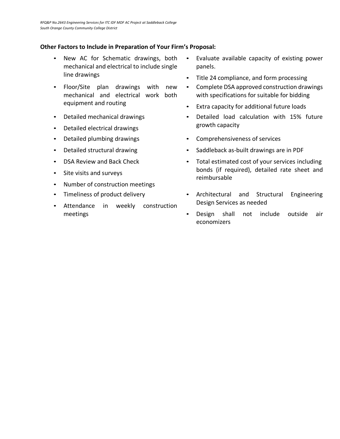#### **Other Factors to Include in Preparation of Your Firm's Proposal:**

- New AC for Schematic drawings, both mechanical and electrical to include single line drawings
- Floor/Site plan drawings with new mechanical and electrical work both equipment and routing
- Detailed mechanical drawings
- Detailed electrical drawings
- Detailed plumbing drawings
- Detailed structural drawing
- DSA Review and Back Check
- Site visits and surveys
- Number of construction meetings
- Timeliness of product delivery
- Attendance in weekly construction meetings
- Evaluate available capacity of existing power panels.
- Title 24 compliance, and form processing
- Complete DSA approved construction drawings with specifications for suitable for bidding
- Extra capacity for additional future loads
- Detailed load calculation with 15% future growth capacity
- Comprehensiveness of services
- Saddleback as-built drawings are in PDF
- Total estimated cost of your services including bonds (if required), detailed rate sheet and reimbursable
- Architectural and Structural Engineering Design Services as needed
- Design shall not include outside air economizers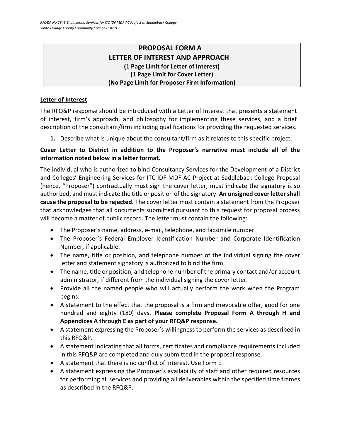# **PROPOSAL FORM A LETTER OF INTEREST AND APPROACH (1 Page Limit for Letter of Interest) (1 Page Limit for Cover Letter) (No Page Limit for Proposer Firm Information)**

# **Letter of Interest**

The RFQ&P response should be introduced with a Letter of Interest that presents a statement of interest, firm's approach, and philosophy for implementing these services, and a brief description of the consultant/firm including qualifications for providing the requested services.

**1.** Describe what is unique about the consultant/firm as it relates to this specific project.

## **Cover Letter to District in addition to the Proposer's narrative must include all of the information noted below in a letter format.**

The individual who is authorized to bind Consultancy Services for the Development of a District and Colleges' Engineering Services for ITC IDF MDF AC Project at Saddleback College Proposal (hence, "Proposer") contractually must sign the cover letter, must indicate the signatory is so authorized, and must indicate the title or position of the signatory. **An unsigned cover letter shall cause the proposal to be rejected.** The cover letter must contain a statement from the Proposer that acknowledges that all documents submitted pursuant to this request for proposal process will become a matter of public record. The letter must contain the following:

- The Proposer's name, address, e-mail, telephone, and facsimile number.
- The Proposer's Federal Employer Identification Number and Corporate Identification Number, if applicable.
- The name, title or position, and telephone number of the individual signing the cover letter and statement signatory is authorized to bind the firm.
- The name, title or position, and telephone number of the primary contact and/or account administrator, if different from the individual signing the cover letter.
- Provide all the named people who will actually perform the work when the Program begins.
- A statement to the effect that the proposal is a firm and irrevocable offer, good for one hundred and eighty (180) days. **Please complete Proposal Form A through H and Appendices A through E as part of your RFQ&P response.**
- A statement expressing the Proposer's willingness to perform the services as described in this RFQ&P.
- A statement indicating that all forms, certificates and compliance requirements included in this RFQ&P are completed and duly submitted in the proposal response.
- A statement that there is no conflict of interest. Use Form E.
- A statement expressing the Proposer's availability of staff and other required resources for performing all services and providing all deliverables within the specified time frames as described in the RFQ&P.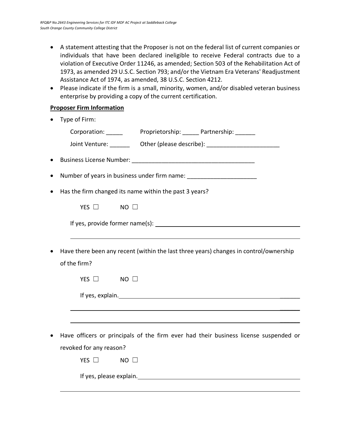- A statement attesting that the Proposer is not on the federal list of current companies or individuals that have been declared ineligible to receive Federal contracts due to a violation of Executive Order 11246, as amended; Section 503 of the Rehabilitation Act of 1973, as amended 29 U.S.C. Section 793; and/or the Vietnam Era Veterans' Readjustment Assistance Act of 1974, as amended, 38 U.S.C. Section 4212.
- Please indicate if the firm is a small, minority, women, and/or disabled veteran business enterprise by providing a copy of the current certification.

## **Proposer Firm Information**

| Type of Firm:                                                                                                                                                                                                                  |
|--------------------------------------------------------------------------------------------------------------------------------------------------------------------------------------------------------------------------------|
| Corporation: Proprietorship: Partnership: Partnership:                                                                                                                                                                         |
| Joint Venture: _________ Other (please describe): ______________________________                                                                                                                                               |
|                                                                                                                                                                                                                                |
| Number of years in business under firm name: ___________________________________                                                                                                                                               |
| Has the firm changed its name within the past 3 years?                                                                                                                                                                         |
| YES $\Box$<br>$NO$ $\Box$                                                                                                                                                                                                      |
|                                                                                                                                                                                                                                |
|                                                                                                                                                                                                                                |
| Have there been any recent (within the last three years) changes in control/ownership                                                                                                                                          |
| of the firm?                                                                                                                                                                                                                   |
| YES $\Box$ NO $\Box$                                                                                                                                                                                                           |
| If yes, explain. The property of the set of the set of the set of the set of the set of the set of the set of the set of the set of the set of the set of the set of the set of the set of the set of the set of the set of th |
|                                                                                                                                                                                                                                |
|                                                                                                                                                                                                                                |
| Have officers or principals of the firm ever had their business license suspended or                                                                                                                                           |
| revoked for any reason?                                                                                                                                                                                                        |
| YES $\square$<br>$NO$ $\square$                                                                                                                                                                                                |
| If yes, please explain.                                                                                                                                                                                                        |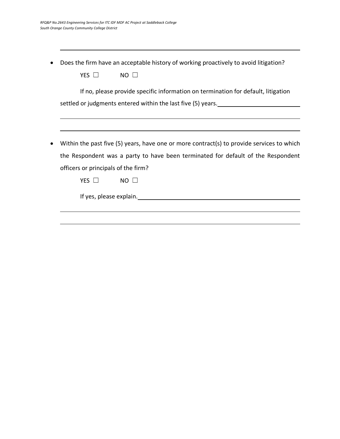• Does the firm have an acceptable history of working proactively to avoid litigation?

| YES O<br>NO.                                                                                |
|---------------------------------------------------------------------------------------------|
| If no, please provide specific information on termination for default, litigation           |
| settled or judgments entered within the last five (5) years.                                |
|                                                                                             |
|                                                                                             |
| Within the past five $(5)$ years, have one or more contract(s) to provide services to which |
| the Respondent was a party to have been terminated for default of the Respondent            |
| officers or principals of the firm?                                                         |
| YES $\Box$<br>NO.                                                                           |
| If yes, please explain.                                                                     |
|                                                                                             |
|                                                                                             |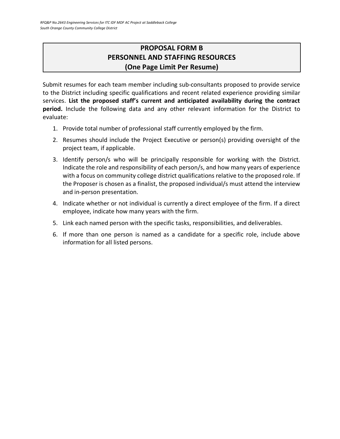# **PROPOSAL FORM B PERSONNEL AND STAFFING RESOURCES (One Page Limit Per Resume)**

Submit resumes for each team member including sub-consultants proposed to provide service to the District including specific qualifications and recent related experience providing similar services. **List the proposed staff's current and anticipated availability during the contract period.** Include the following data and any other relevant information for the District to evaluate:

- 1. Provide total number of professional staff currently employed by the firm.
- 2. Resumes should include the Project Executive or person(s) providing oversight of the project team, if applicable.
- 3. Identify person/s who will be principally responsible for working with the District. Indicate the role and responsibility of each person/s, and how many years of experience with a focus on community college district qualifications relative to the proposed role. If the Proposer is chosen as a finalist, the proposed individual/s must attend the interview and in-person presentation.
- 4. Indicate whether or not individual is currently a direct employee of the firm. If a direct employee, indicate how many years with the firm.
- 5. Link each named person with the specific tasks, responsibilities, and deliverables.
- 6. If more than one person is named as a candidate for a specific role, include above information for all listed persons.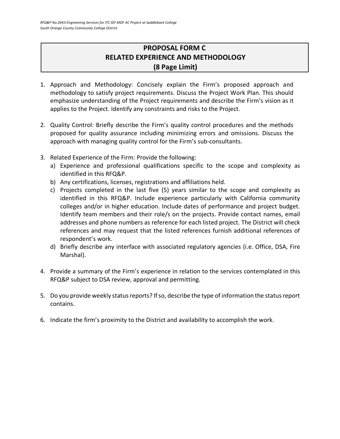# **PROPOSAL FORM C RELATED EXPERIENCE AND METHODOLOGY (8 Page Limit)**

- 1. Approach and Methodology: Concisely explain the Firm's proposed approach and methodology to satisfy project requirements. Discuss the Project Work Plan. This should emphasize understanding of the Project requirements and describe the Firm's vision as it applies to the Project. Identify any constraints and risks to the Project.
- 2. Quality Control: Briefly describe the Firm's quality control procedures and the methods proposed for quality assurance including minimizing errors and omissions. Discuss the approach with managing quality control for the Firm's sub-consultants.
- 3. Related Experience of the Firm: Provide the following:
	- a) Experience and professional qualifications specific to the scope and complexity as identified in this RFQ&P.
	- b) Any certifications, licenses, registrations and affiliations held.
	- c) Projects completed in the last five (5) years similar to the scope and complexity as identified in this RFQ&P. Include experience particularly with California community colleges and/or in higher education. Include dates of performance and project budget. Identify team members and their role/s on the projects. Provide contact names, email addresses and phone numbers as reference for each listed project. The District will check references and may request that the listed references furnish additional references of respondent's work.
	- d) Briefly describe any interface with associated regulatory agencies (i.e. Office, DSA, Fire Marshal).
- 4. Provide a summary of the Firm's experience in relation to the services contemplated in this RFQ&P subject to DSA review, approval and permitting.
- 5. Do you provide weekly status reports? If so, describe the type of information the status report contains.
- 6. Indicate the firm's proximity to the District and availability to accomplish the work.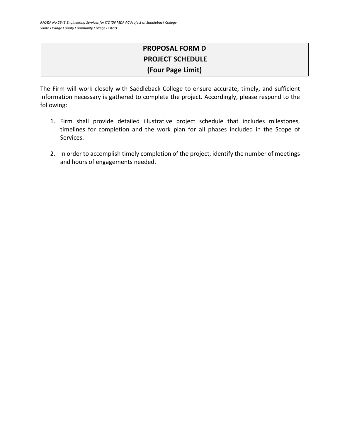# **PROPOSAL FORM D PROJECT SCHEDULE (Four Page Limit)**

The Firm will work closely with Saddleback College to ensure accurate, timely, and sufficient information necessary is gathered to complete the project. Accordingly, please respond to the following:

- 1. Firm shall provide detailed illustrative project schedule that includes milestones, timelines for completion and the work plan for all phases included in the Scope of Services.
- 2. In order to accomplish timely completion of the project, identify the number of meetings and hours of engagements needed.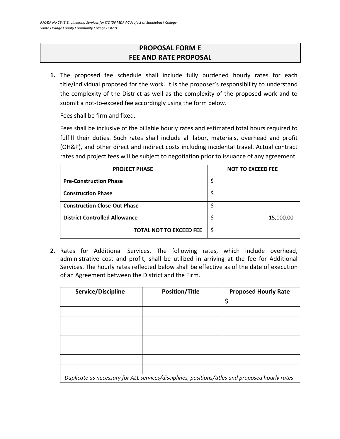# **PROPOSAL FORM E FEE AND RATE PROPOSAL**

**1.** The proposed fee schedule shall include fully burdened hourly rates for each title/individual proposed for the work. It is the proposer's responsibility to understand the complexity of the District as well as the complexity of the proposed work and to submit a not-to-exceed fee accordingly using the form below.

Fees shall be firm and fixed.

Fees shall be inclusive of the billable hourly rates and estimated total hours required to fulfill their duties. Such rates shall include all labor, materials, overhead and profit (OH&P), and other direct and indirect costs including incidental travel. Actual contract rates and project fees will be subject to negotiation prior to issuance of any agreement.

| <b>PROJECT PHASE</b>                 | <b>NOT TO EXCEED FEE</b> |
|--------------------------------------|--------------------------|
| <b>Pre-Construction Phase</b>        | \$                       |
| <b>Construction Phase</b>            | \$                       |
| <b>Construction Close-Out Phase</b>  | \$                       |
| <b>District Controlled Allowance</b> | 15,000.00                |
| <b>TOTAL NOT TO EXCEED FEE</b>       | \$                       |

**2.** Rates for Additional Services. The following rates, which include overhead, administrative cost and profit, shall be utilized in arriving at the fee for Additional Services. The hourly rates reflected below shall be effective as of the date of execution of an Agreement between the District and the Firm.

| Service/Discipline                                                                              | <b>Position/Title</b> | <b>Proposed Hourly Rate</b> |
|-------------------------------------------------------------------------------------------------|-----------------------|-----------------------------|
|                                                                                                 |                       | \$                          |
|                                                                                                 |                       |                             |
|                                                                                                 |                       |                             |
|                                                                                                 |                       |                             |
|                                                                                                 |                       |                             |
|                                                                                                 |                       |                             |
|                                                                                                 |                       |                             |
|                                                                                                 |                       |                             |
| Duplicate as necessary for ALL services/disciplines, positions/titles and proposed hourly rates |                       |                             |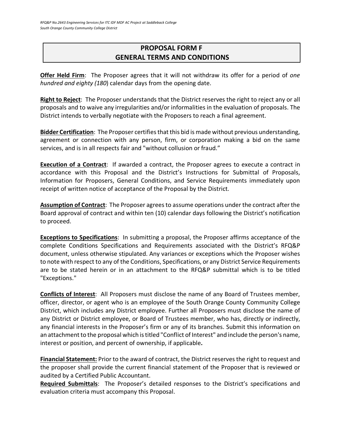# **PROPOSAL FORM F GENERAL TERMS AND CONDITIONS**

**Offer Held Firm**: The Proposer agrees that it will not withdraw its offer for a period of *one hundred and eighty (180*) calendar days from the opening date.

**Right to Reject**: The Proposer understands that the District reserves the right to reject any or all proposals and to waive any irregularities and/or informalities in the evaluation of proposals. The District intends to verbally negotiate with the Proposers to reach a final agreement.

**Bidder Certification**: The Proposer certifies that this bid is made without previous understanding, agreement or connection with any person, firm, or corporation making a bid on the same services, and is in all respects fair and "without collusion or fraud."

**Execution of a Contract**: If awarded a contract, the Proposer agrees to execute a contract in accordance with this Proposal and the District's Instructions for Submittal of Proposals, Information for Proposers, General Conditions, and Service Requirements immediately upon receipt of written notice of acceptance of the Proposal by the District.

**Assumption of Contract**: The Proposer agrees to assume operations under the contract after the Board approval of contract and within ten (10) calendar days following the District's notification to proceed.

**Exceptions to Specifications**: In submitting a proposal, the Proposer affirms acceptance of the complete Conditions Specifications and Requirements associated with the District's RFQ&P document, unless otherwise stipulated. Any variances or exceptions which the Proposer wishes to note with respect to any of the Conditions, Specifications, or any District Service Requirements are to be stated herein or in an attachment to the RFQ&P submittal which is to be titled "Exceptions."

**Conflicts of Interest**: All Proposers must disclose the name of any Board of Trustees member, officer, director, or agent who is an employee of the South Orange County Community College District, which includes any District employee. Further all Proposers must disclose the name of any District or District employee, or Board of Trustees member, who has, directly or indirectly, any financial interests in the Proposer's firm or any of its branches. Submit this information on an attachment to the proposal which is titled "Conflict of Interest" and include the person's name, interest or position, and percent of ownership, if applicable**.**

**Financial Statement:** Prior to the award of contract, the District reserves the right to request and the proposer shall provide the current financial statement of the Proposer that is reviewed or audited by a Certified Public Accountant.

**Required Submittals**: The Proposer's detailed responses to the District's specifications and evaluation criteria must accompany this Proposal.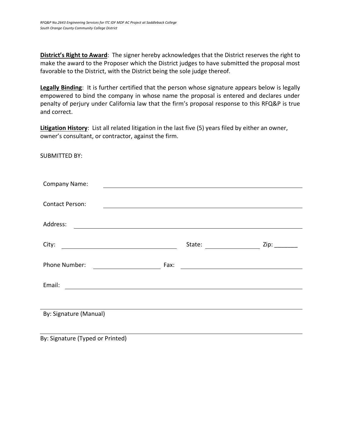**District's Right to Award**: The signer hereby acknowledges that the District reserves the right to make the award to the Proposer which the District judges to have submitted the proposal most favorable to the District, with the District being the sole judge thereof.

**Legally Binding**: It is further certified that the person whose signature appears below is legally empowered to bind the company in whose name the proposal is entered and declares under penalty of perjury under California law that the firm's proposal response to this RFQ&P is true and correct.

**Litigation History**: List all related litigation in the last five (5) years filed by either an owner, owner's consultant, or contractor, against the firm.

SUBMITTED BY:

| Company Name:          |                                                                                              |  |
|------------------------|----------------------------------------------------------------------------------------------|--|
|                        |                                                                                              |  |
| <b>Contact Person:</b> |                                                                                              |  |
|                        |                                                                                              |  |
| Address:               |                                                                                              |  |
|                        |                                                                                              |  |
| City:                  | State:<br>$\overline{\phantom{a}}$ and $\overline{\phantom{a}}$ and $\overline{\phantom{a}}$ |  |
|                        |                                                                                              |  |
| Phone Number:          | Fax:                                                                                         |  |
|                        |                                                                                              |  |
| Email:                 |                                                                                              |  |
|                        |                                                                                              |  |
|                        |                                                                                              |  |
| By: Signature (Manual) |                                                                                              |  |
|                        |                                                                                              |  |
|                        |                                                                                              |  |

By: Signature (Typed or Printed)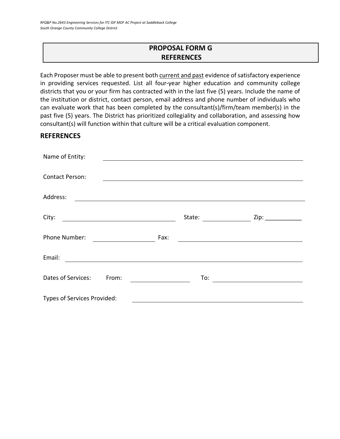# **PROPOSAL FORM G REFERENCES**

Each Proposer must be able to present both current and past evidence of satisfactory experience in providing services requested. List all four-year higher education and community college districts that you or your firm has contracted with in the last five (5) years. Include the name of the institution or district, contact person, email address and phone number of individuals who can evaluate work that has been completed by the consultant(s)/firm/team member(s) in the past five (5) years. The District has prioritized collegiality and collaboration, and assessing how consultant(s) will function within that culture will be a critical evaluation component.

## **REFERENCES**

| Name of Entity:                                                                                                                |        |                    |
|--------------------------------------------------------------------------------------------------------------------------------|--------|--------------------|
|                                                                                                                                |        |                    |
| <b>Contact Person:</b>                                                                                                         |        |                    |
| Address:                                                                                                                       |        |                    |
|                                                                                                                                |        |                    |
| City:<br><u> 1989 - Johann Barnett, fransk politik (d. 1989)</u>                                                               | State: | Zip: _____________ |
| Phone Number:                                                                                                                  | Fax:   |                    |
| Email:<br><u> - Andreas Andreas Andreas Andreas Andreas Andreas Andreas Andreas Andreas Andreas Andreas Andreas Andreas An</u> |        |                    |
| Dates of Services:<br>From:                                                                                                    | To:    |                    |
| Types of Services Provided:                                                                                                    |        |                    |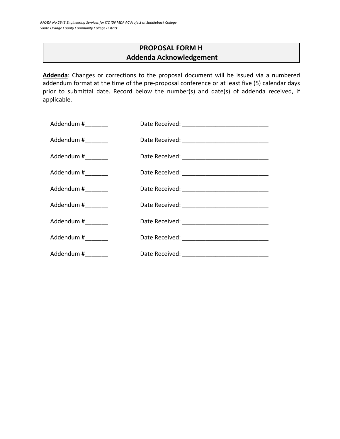# **PROPOSAL FORM H Addenda Acknowledgement**

**Addenda**: Changes or corrections to the proposal document will be issued via a numbered addendum format at the time of the pre-proposal conference or at least five (5) calendar days prior to submittal date. Record below the number(s) and date(s) of addenda received, if applicable.

| Addendum #________  |  |
|---------------------|--|
| Addendum #_________ |  |
| Addendum #_________ |  |
| Addendum #_________ |  |
| Addendum #          |  |
| Addendum #_________ |  |
| Addendum #________  |  |
| Addendum #________  |  |
| Addendum #_________ |  |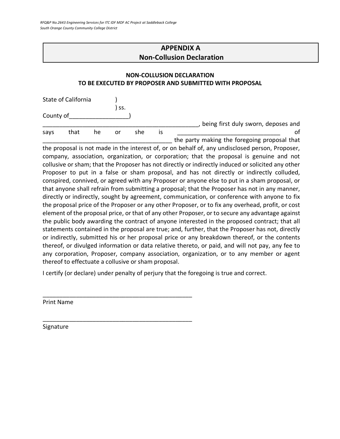# **APPENDIX A Non-Collusion Declaration**

#### **NON-COLLUSION DECLARATION TO BE EXECUTED BY PROPOSER AND SUBMITTED WITH PROPOSAL**

| State of California |      |    |     |     |    |                                              |
|---------------------|------|----|-----|-----|----|----------------------------------------------|
| County of           |      |    | SS. |     |    |                                              |
|                     |      |    |     |     |    | being first duly sworn, deposes and          |
| savs                | that | he | or  | she | IS |                                              |
|                     |      |    |     |     |    | the party making the foregoing proposal that |

the proposal is not made in the interest of, or on behalf of, any undisclosed person, Proposer, company, association, organization, or corporation; that the proposal is genuine and not collusive or sham; that the Proposer has not directly or indirectly induced or solicited any other Proposer to put in a false or sham proposal, and has not directly or indirectly colluded, conspired, connived, or agreed with any Proposer or anyone else to put in a sham proposal, or that anyone shall refrain from submitting a proposal; that the Proposer has not in any manner, directly or indirectly, sought by agreement, communication, or conference with anyone to fix the proposal price of the Proposer or any other Proposer, or to fix any overhead, profit, or cost element of the proposal price, or that of any other Proposer, or to secure any advantage against the public body awarding the contract of anyone interested in the proposed contract; that all statements contained in the proposal are true; and, further, that the Proposer has not, directly or indirectly, submitted his or her proposal price or any breakdown thereof, or the contents thereof, or divulged information or data relative thereto, or paid, and will not pay, any fee to any corporation, Proposer, company association, organization, or to any member or agent thereof to effectuate a collusive or sham proposal.

I certify (or declare) under penalty of perjury that the foregoing is true and correct.

\_\_\_\_\_\_\_\_\_\_\_\_\_\_\_\_\_\_\_\_\_\_\_\_\_\_\_\_\_\_\_\_\_\_\_\_\_\_\_\_\_\_\_\_\_

\_\_\_\_\_\_\_\_\_\_\_\_\_\_\_\_\_\_\_\_\_\_\_\_\_\_\_\_\_\_\_\_\_\_\_\_\_\_\_\_\_\_\_\_\_

Print Name

Signature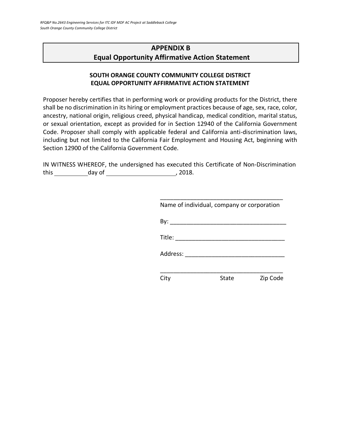# **APPENDIX B Equal Opportunity Affirmative Action Statement**

#### **SOUTH ORANGE COUNTY COMMUNITY COLLEGE DISTRICT EQUAL OPPORTUNITY AFFIRMATIVE ACTION STATEMENT**

Proposer hereby certifies that in performing work or providing products for the District, there shall be no discrimination in its hiring or employment practices because of age, sex, race, color, ancestry, national origin, religious creed, physical handicap, medical condition, marital status, or sexual orientation, except as provided for in Section 12940 of the California Government Code. Proposer shall comply with applicable federal and California anti-discrimination laws, including but not limited to the California Fair Employment and Housing Act, beginning with Section 12900 of the California Government Code.

IN WITNESS WHEREOF, the undersigned has executed this Certificate of Non-Discrimination  $this **2018.**$  day of  $\qquad \qquad 2018.$ 

| Name of individual, company or corporation |  |
|--------------------------------------------|--|
|                                            |  |
|                                            |  |
| Address:                                   |  |
|                                            |  |
| Zip Code<br>State                          |  |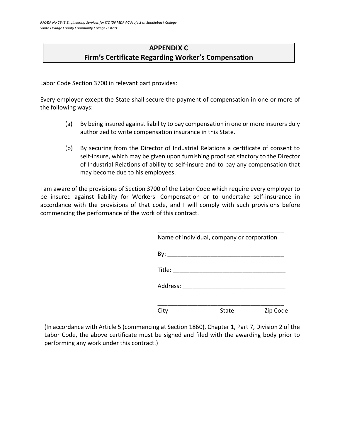# **APPENDIX C Firm's Certificate Regarding Worker's Compensation**

Labor Code Section 3700 in relevant part provides:

Every employer except the State shall secure the payment of compensation in one or more of the following ways:

- (a) By being insured against liability to pay compensation in one or more insurers duly authorized to write compensation insurance in this State.
- (b) By securing from the Director of Industrial Relations a certificate of consent to self-insure, which may be given upon furnishing proof satisfactory to the Director of Industrial Relations of ability to self-insure and to pay any compensation that may become due to his employees.

I am aware of the provisions of Section 3700 of the Labor Code which require every employer to be insured against liability for Workers' Compensation or to undertake self-insurance in accordance with the provisions of that code, and I will comply with such provisions before commencing the performance of the work of this contract.

|                   | Name of individual, company or corporation |          |
|-------------------|--------------------------------------------|----------|
|                   |                                            |          |
|                   |                                            |          |
| Address: ________ |                                            |          |
| City              | State                                      | Zip Code |

(In accordance with Article 5 (commencing at Section 1860), Chapter 1, Part 7, Division 2 of the Labor Code, the above certificate must be signed and filed with the awarding body prior to performing any work under this contract.)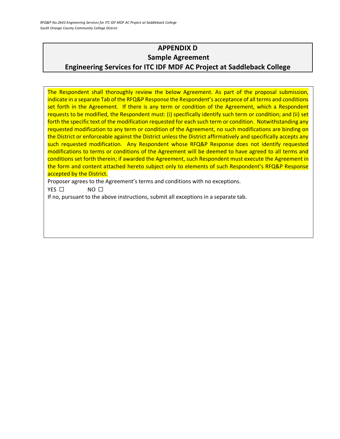# **APPENDIX D Sample Agreement Engineering Services for ITC IDF MDF AC Project at Saddleback College**

The Respondent shall thoroughly review the below Agreement. As part of the proposal submission, indicate in a separate Tab of the RFQ&P Response the Respondent's acceptance of all terms and conditions set forth in the Agreement. If there is any term or condition of the Agreement, which a Respondent requests to be modified, the Respondent must: (i) specifically identify such term or condition; and (ii) set forth the specific text of the modification requested for each such term or condition. Notwithstanding any requested modification to any term or condition of the Agreement, no such modifications are binding on the District or enforceable against the District unless the District affirmatively and specifically accepts any such requested modification. Any Respondent whose RFQ&P Response does not identify requested modifications to terms or conditions of the Agreement will be deemed to have agreed to all terms and conditions set forth therein; if awarded the Agreement, such Respondent must execute the Agreement in the form and content attached hereto subject only to elements of such Respondent's RFQ&P Response accepted by the District.

Proposer agrees to the Agreement's terms and conditions with no exceptions.

YES □ NO □

If no, pursuant to the above instructions, submit all exceptions in a separate tab.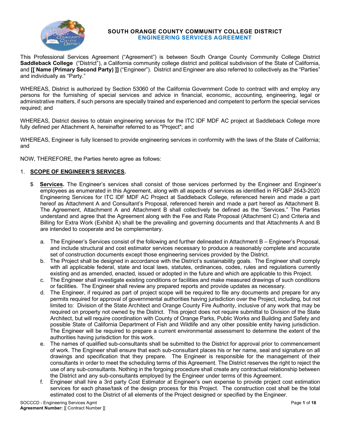#### **SOUTH ORANGE COUNTY COMMUNITY COLLEGE DISTRICT ENGINEERING SERVICES AGREEMENT**

This Professional Services Agreement ("Agreement") is between South Orange County Community College District **Saddleback College** ("District"), a California community college district and political subdivision of the State of California, and **[[ Name (Primary Second Party) ]]** ("Engineer"). District and Engineer are also referred to collectively as the "Parties" and individually as "Party."

WHEREAS, District is authorized by Section 53060 of the California Government Code to contract with and employ any persons for the furnishing of special services and advice in financial, economic, accounting, engineering, legal or administrative matters, if such persons are specially trained and experienced and competent to perform the special services required; and

WHEREAS, District desires to obtain engineering services for the ITC IDF MDF AC project at Saddleback College more fully defined per Attachment A, hereinafter referred to as "Project"; and

WHEREAS, Engineer is fully licensed to provide engineering services in conformity with the laws of the State of California; and

NOW, THEREFORE, the Parties hereto agree as follows:

#### 1. **SCOPE OF ENGINEER'S SERVICES.**

- **g** Services. The Engineer's services shall consist of those services performed by the Engineer and Engineer's employees as enumerated in this Agreement, along with all aspects of services as identified in RFQ&P 2643-2020 Engineering Services for ITC IDF MDF AC Project at Saddleback College, referenced herein and made a part hereof as Attachment A and Consultant's Proposal, referenced herein and made a part hereof as Attachment B. The Agreement, Attachment A and Attachment B shall collectively be defined as the "Services." The Parties understand and agree that the Agreement along with the Fee and Rate Proposal (Attachment C) and Criteria and Billing for Extra Work (Exhibit A) shall be the prevailing and governing documents and that Attachments A and B are intended to cooperate and be complementary.
	- a. The Engineer's Services consist of the following and further delineated in Attachment B Engineer's Proposal, and include structural and cost estimator services necessary to produce a reasonably complete and accurate set of construction documents except those engineering services provided by the District.
	- b. The Project shall be designed in accordance with the District's sustainability goals. The Engineer shall comply with all applicable federal, state and local laws, statutes, ordinances, codes, rules and regulations currently existing and as amended, enacted, issued or adopted in the future and which are applicable to this Project.
	- c. The Engineer shall investigate existing conditions or facilities and make measured drawings of such conditions or facilities. The Engineer shall review any prepared reports and provide updates as necessary.
	- d. The Engineer, if required as part of project scope will be required to file any documents and prepare for any permits required for approval of governmental authorities having jurisdiction over the Project, including, but not limited to: Division of the State Architect and Orange County Fire Authority, inclusive of any work that may be required on property not owned by the District. This project does not require submittal to Division of the State Architect, but will require coordination with County of Orange Parks, Public Works and Building and Safety and possible State of California Department of Fish and Wildlife and any other possible entity having jurisdiction. The Engineer will be required to prepare a current environmental assessment to determine the extent of the authorities having jurisdiction for this work.
	- e. The names of qualified sub-consultants shall be submitted to the District for approval prior to commencement of work. The Engineer shall ensure that each sub-consultant places his or her name, seal and signature on all drawings and specification that they prepare. The Engineer is responsible for the management of their consultants in order to meet the scheduling terms of this Agreement. The District reserves the right to reject the use of any sub-consultants. Nothing in the forgoing procedure shall create any contractual relationship between the District and any sub-consultants employed by the Engineer under terms of this Agreement.
	- f. Engineer shall hire a 3rd party Cost Estimator at Engineer's own expense to provide project cost estimation services for each phase/task of the design process for this Project. The construction cost shall be the total estimated cost to the District of all elements of the Project designed or specified by the Engineer.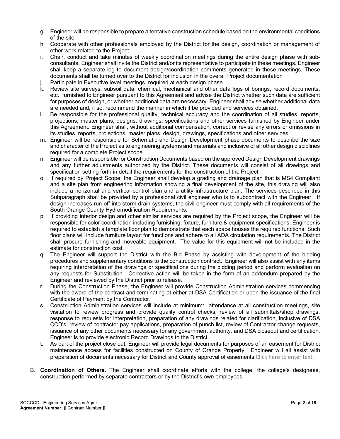- g. Engineer will be responsible to prepare a tentative construction schedule based on the environmental conditions of the site.
- h. Cooperate with other professionals employed by the District for the design, coordination or management of other work related to the Project.
- i. Chair, conduct and take minutes of weekly coordination meetings during the entire design phase with subconsultants, Engineer shall invite the District and/or its representative to participate in these meetings. Engineer shall keep a separate log to document design/coordination comments generated in these meetings. These documents shall be turned over to the District for inclusion in the overall Project documentation
- Participate in Executive level meetings, required at each design phase.
- k. Review site surveys, subsoil data, chemical, mechanical and other data logs of borings, record documents, etc., furnished to Engineer pursuant to this Agreement and advise the District whether such data are sufficient for purposes of design, or whether additional data are necessary. Engineer shall advise whether additional data are needed and, if so, recommend the manner in which it be provided and services obtained.
- l. Be responsible for the professional quality, technical accuracy and the coordination of all studies, reports, projections, master plans, designs, drawings, specifications and other services furnished by Engineer under this Agreement. Engineer shall, without additional compensation, correct or revise any errors or omissions in its studies, reports, projections, master plans, design, drawings, specifications and other services.
- m. Engineer will be responsible for Schematic and Design Development phase documents to describe the size and character of the Project as to engineering systems and materials and inclusive of all other design disciplines required for a complete Project scope.
- n. Engineer will be responsible for Construction Documents based on the approved Design Development drawings and any further adjustments authorized by the District. These documents will consist of all drawings and specification setting forth in detail the requirements for the construction of the Project.
- o. If required by Project Scope, the Engineer shall develop a grading and drainage plan that is MS4 Compliant and a site plan from engineering information showing a final development of the site, this drawing will also include a horizontal and vertical control plan and a utility infrastructure plan. The services described in this Subparagraph shall be provided by a professional civil engineer who is to subcontract with the Engineer. If design increases run-off into storm drain systems, the civil engineer must comply with all requirements of the South Orange County Hydromodification Requirements.
- p. If providing interior design and other similar services are required by the Project scope, the Engineer will be responsible for color coordination including furnishing, fixture, furniture & equipment specifications. Engineer is required to establish a template floor plan to demonstrate that each space houses the required functions. Such floor plans will include furniture layout for functions and adhere to all ADA circulation requirements. The District shall procure furnishing and moveable equipment. The value for this equipment will not be included in the estimate for construction cost.
- q. The Engineer will support the District with the Bid Phase by assisting with development of the bidding procedures and supplementary conditions to the construction contract. Engineer will also assist with any items requiring interpretation of the drawings or specifications during the bidding period and perform evaluation on any requests for Substitution. Corrective action will be taken in the form of an addendum prepared by the Engineer and reviewed by the District prior to release.
- During the Construction Phase, the Engineer will provide Construction Administration services commencing with the award of the contract and terminating at either at DSA Certification or upon the issuance of the final Certificate of Payment by the Contractor.
- s. Construction Administration services will include at minimum: attendance at all construction meetings, site visitation to review progress and provide quality control checks, review of all submittals/shop drawings, response to requests for interpretation, preparation of any drawings related for clarification, inclusive of DSA CCD's, review of contractor pay applications, preparation of punch list, review of Contractor change requests, issuance of any other documents necessary for any government authority, and DSA closeout and certification. Engineer is to provide electronic Record Drawings to the District.
- t. As part of the project close out, Engineer will provide legal documents for purposes of an easement for District maintenance access for facilities constructed on County of Orange Property. Engineer will all assist with preparation of documents necessary for District and County approval of easements.Click here to enter text.
- B. **Coordination of Others.** The Engineer shall coordinate efforts with the college, the college's designees, construction performed by separate contractors or by the District's own employees.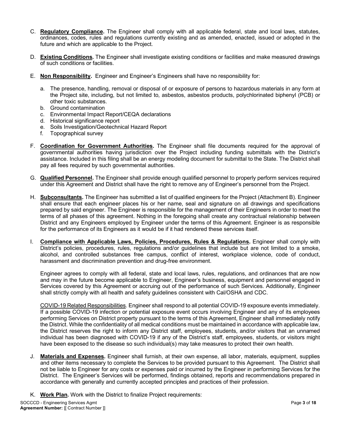- C. **Regulatory Compliance.** The Engineer shall comply with all applicable federal, state and local laws, statutes, ordinances, codes, rules and regulations currently existing and as amended, enacted, issued or adopted in the future and which are applicable to the Project.
- D. **Existing Conditions.** The Engineer shall investigate existing conditions or facilities and make measured drawings of such conditions or facilities.
- E. **Non Responsibility.** Engineer and Engineer's Engineers shall have no responsibility for:
	- a. The presence, handling, removal or disposal of or exposure of persons to hazardous materials in any form at the Project site, including, but not limited to, asbestos, asbestos products, polychlorinated biphenyl (PCB) or other toxic substances.
	- b. Ground contamination
	- c. Environmental Impact Report/CEQA declarations
	- d. Historical significance report
	- e. Soils Investigation/Geotechnical Hazard Report
	- f. Topographical survey
- F. **Coordination for Government Authorities.** The Engineer shall file documents required for the approval of governmental authorities having jurisdiction over the Project including funding submittals with the District's assistance. Included in this filing shall be an energy modeling document for submittal to the State. The District shall pay all fees required by such governmental authorities.
- G. **Qualified Personnel.** The Engineer shall provide enough qualified personnel to properly perform services required under this Agreement and District shall have the right to remove any of Engineer's personnel from the Project.
- H. **Subconsultants.** The Engineer has submitted a list of qualified engineers for the Project (Attachment B). Engineer shall ensure that each engineer places his or her name, seal and signature on all drawings and specifications prepared by said engineer. The Engineer is responsible for the management of their Engineers in order to meet the terms of all phases of this agreement. Nothing in the foregoing shall create any contractual relationship between District and any Engineers employed by Engineer under the terms of this Agreement. Engineer is as responsible for the performance of its Engineers as it would be if it had rendered these services itself.
- I. **Compliance with Applicable Laws, Policies, Procedures, Rules & Regulations.** Engineer shall comply with District's policies, procedures, rules, regulations and/or guidelines that include but are not limited to a smoke, alcohol, and controlled substances free campus, conflict of interest, workplace violence, code of conduct, harassment and discrimination prevention and drug-free environment.

Engineer agrees to comply with all federal, state and local laws, rules, regulations, and ordinances that are now and may in the future become applicable to Engineer, Engineer's business, equipment and personnel engaged in Services covered by this Agreement or accruing out of the performance of such Services. Additionally, Engineer shall strictly comply with all health and safety guidelines consistent with Cal/OSHA and CDC.

COVID-19 Related Responsibilities. Engineer shall respond to all potential COVID-19 exposure events immediately. If a possible COVID-19 infection or potential exposure event occurs involving Engineer and any of its employees performing Services on District property pursuant to the terms of this Agreement, Engineer shall immediately notify the District. While the confidentiality of all medical conditions must be maintained in accordance with applicable law, the District reserves the right to inform any District staff, employees, students, and/or visitors that an unnamed individual has been diagnosed with COVID-19 if any of the District's staff, employees, students, or visitors might have been exposed to the disease so such individual(s) may take measures to protect their own health.

- J. **Materials and Expenses.** Engineer shall furnish, at their own expense, all labor, materials, equipment, supplies and other items necessary to complete the Services to be provided pursuant to this Agreement. The District shall not be liable to Engineer for any costs or expenses paid or incurred by the Engineer in performing Services for the District. The Engineer's Services will be performed, findings obtained, reports and recommendations prepared in accordance with generally and currently accepted principles and practices of their profession.
- K. **Work Plan.** Work with the District to finalize Project requirements: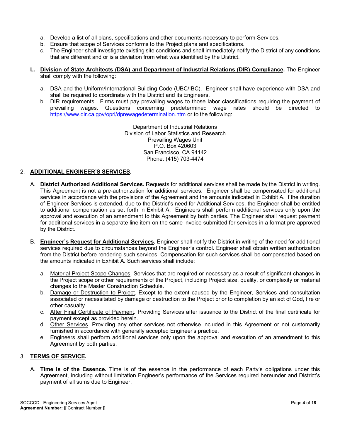- a. Develop a list of all plans, specifications and other documents necessary to perform Services.
- b. Ensure that scope of Services conforms to the Project plans and specifications.
- c. The Engineer shall investigate existing site conditions and shall immediately notify the District of any conditions that are different and or is a deviation from what was identified by the District.
- **L. Division of State Architects (DSA) and Department of Industrial Relations (DIR) Compliance.** The Engineer shall comply with the following:
	- a. DSA and the Uniform/International Building Code (UBC/IBC). Engineer shall have experience with DSA and shall be required to coordinate with the District and its Engineers.
	- b. DIR requirements. Firms must pay prevailing wages to those labor classifications requiring the payment of prevailing wages. Questions concerning predetermined wage rates should be directed to https://www.dir.ca.gov/oprl/dprewagedetermination.htm or to the following:

Department of Industrial Relations Division of Labor Statistics and Research Prevailing Wages Unit P.O. Box 420603 San Francisco, CA 94142 Phone: (415) 703-4474

#### 2. **ADDITIONAL ENGINEER'S SERVICES.**

- A. **District Authorized Additional Services.** Requests for additional services shall be made by the District in writing. This Agreement is not a pre-authorization for additional services. Engineer shall be compensated for additional services in accordance with the provisions of the Agreement and the amounts indicated in Exhibit A. If the duration of Engineer Services is extended, due to the District's need for Additional Services, the Engineer shall be entitled to additional compensation as set forth in Exhibit A. Engineers shall perform additional services only upon the approval and execution of an amendment to this Agreement by both parties. The Engineer shall request payment for additional services in a separate line item on the same invoice submitted for services in a format pre-approved by the District.
- B. **Engineer's Request for Additional Services.** Engineer shall notify the District in writing of the need for additional services required due to circumstances beyond the Engineer's control. Engineer shall obtain written authorization from the District before rendering such services. Compensation for such services shall be compensated based on the amounts indicated in Exhibit A. Such services shall include:
	- a. Material Project Scope Changes. Services that are required or necessary as a result of significant changes in the Project scope or other requirements of the Project, including Project size, quality, or complexity or material changes to the Master Construction Schedule.
	- b. Damage or Destruction to Project. Except to the extent caused by the Engineer, Services and consultation associated or necessitated by damage or destruction to the Project prior to completion by an act of God, fire or other casualty.
	- c. After Final Certificate of Payment. Providing Services after issuance to the District of the final certificate for payment except as provided herein.
	- d. Other Services. Providing any other services not otherwise included in this Agreement or not customarily furnished in accordance with generally accepted Engineer's practice.
	- e. Engineers shall perform additional services only upon the approval and execution of an amendment to this Agreement by both parties.

#### 3. **TERMS OF SERVICE.**

A. **Time is of the Essence.** Time is of the essence in the performance of each Party's obligations under this Agreement, including without limitation Engineer's performance of the Services required hereunder and District's payment of all sums due to Engineer.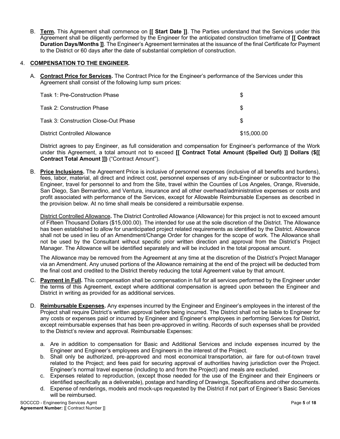B. **Term.** This Agreement shall commence on **[[ Start Date ]]**. The Parties understand that the Services under this Agreement shall be diligently performed by the Engineer for the anticipated construction timeframe of **[[ Contract Duration Days/Months ]]**. The Engineer's Agreement terminates at the issuance of the final Certificate for Payment to the District or 60 days after the date of substantial completion of construction.

#### 4. **COMPENSATION TO THE ENGINEER.**

A. **Contract Price for Services.** The Contract Price for the Engineer's performance of the Services under this Agreement shall consist of the following lump sum prices:

| Task 1: Pre-Construction Phase       | \$          |
|--------------------------------------|-------------|
| Task 2: Construction Phase           | \$.         |
| Task 3: Construction Close-Out Phase | \$.         |
| District Controlled Allowance        | \$15,000.00 |

District agrees to pay Engineer, as full consideration and compensation for Engineer's performance of the Work under this Agreement, a total amount not to exceed **[[ Contract Total Amount (Spelled Out) ]] Dollars (\$[[ Contract Total Amount ]])** ("Contract Amount").

B. **Price Inclusions.** The Agreement Price is inclusive of personnel expenses (inclusive of all benefits and burdens), fees, labor, material, all direct and indirect cost, personnel expenses of any sub-Engineer or subcontractor to the Engineer, travel for personnel to and from the Site, travel within the Counties of Los Angeles, Orange, Riverside, San Diego, San Bernardino, and Ventura, insurance and all other overhead/administrative expenses or costs and profit associated with performance of the Services, except for Allowable Reimbursable Expenses as described in the provision below. At no time shall meals be considered a reimbursable expense.

District Controlled Allowance**.** The District Controlled Allowance (Allowance) for this project is not to exceed amount of Fifteen Thousand Dollars (\$15,000.00). The intended for use at the sole discretion of the District. The Allowance has been established to allow for unanticipated project related requirements as identified by the District. Allowance shall not be used in lieu of an Amendment/Change Order for changes for the scope of work. The Allowance shall not be used by the Consultant without specific prior written direction and approval from the District's Project Manager. The Allowance will be identified separately and will be included in the total proposal amount.

The Allowance may be removed from the Agreement at any time at the discretion of the District's Project Manager via an Amendment. Any unused portions of the Allowance remaining at the end of the project will be deducted from the final cost and credited to the District thereby reducing the total Agreement value by that amount.

- C. **Payment in Full.** This compensation shall be compensation in full for all services performed by the Engineer under the terms of this Agreement, except where additional compensation is agreed upon between the Engineer and District in writing as provided for as additional services.
- D. **Reimbursable Expenses.** Any expenses incurred by the Engineer and Engineer's employees in the interest of the Project shall require District's written approval before being incurred. The District shall not be liable to Engineer for any costs or expenses paid or incurred by Engineer and Engineer's employees in performing Services for District, except reimbursable expenses that has been pre-approved in writing. Records of such expenses shall be provided to the District's review and approval. Reimbursable Expenses:
	- a. Are in addition to compensation for Basic and Additional Services and include expenses incurred by the Engineer and Engineer's employees and Engineers in the interest of the Project.
	- b. Shall only be authorized, pre-approved and most economical transportation, air fare for out-of-town travel related to the Project; and fees paid for securing approval of authorities having jurisdiction over the Project. Engineer's normal travel expense (including to and from the Project) and meals are excluded.
	- c. Expenses related to reproduction, (except those needed for the use of the Engineer and their Engineers or identified specifically as a deliverable), postage and handling of Drawings, Specifications and other documents.
	- d. Expense of renderings, models and mock-ups requested by the District if not part of Engineer's Basic Services will be reimbursed.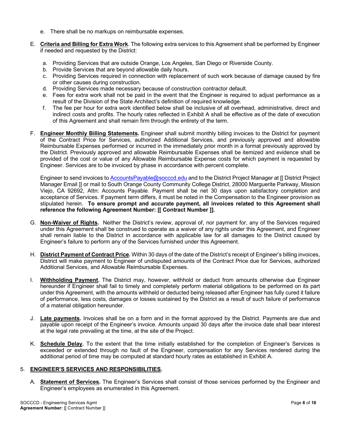- e. There shall be no markups on reimbursable expenses.
- E. **Criteria and Billing for Extra Work**. The following extra services to this Agreement shall be performed by Engineer if needed and requested by the District:
	- a. Providing Services that are outside Orange, Los Angeles, San Diego or Riverside County.
	- b. Provide Services that are beyond allowable daily hours.
	- c. Providing Services required in connection with replacement of such work because of damage caused by fire or other causes during construction.
	- d. Providing Services made necessary because of construction contractor default.
	- e. Fees for extra work shall not be paid in the event that the Engineer is required to adjust performance as a result of the Division of the State Architect's definition of required knowledge.
	- f. The fee per hour for extra work identified below shall be inclusive of all overhead, administrative, direct and indirect costs and profits. The hourly rates reflected in Exhibit A shall be effective as of the date of execution of this Agreement and shall remain firm through the entirety of the term.
- F. **Engineer Monthly Billing Statements.** Engineer shall submit monthly billing invoices to the District for payment of the Contract Price for Services, authorized Additional Services, and previously approved and allowable Reimbursable Expenses performed or incurred in the immediately prior month in a format previously approved by the District. Previously approved and allowable Reimbursable Expenses shall be itemized and evidence shall be provided of the cost or value of any Allowable Reimbursable Expense costs for which payment is requested by Engineer. Services are to be invoiced by phase in accordance with percent complete.

Engineer to send invoices to AccountsPayable@socccd.edu and to the District Project Manager at [[ District Project Manager Email ]] or mail to South Orange County Community College District, 28000 Marguerite Parkway, Mission Viejo, CA 92692, Attn: Accounts Payable. Payment shall be net 30 days upon satisfactory completion and acceptance of Services. If payment term differs, it must be noted in the Compensation to the Engineer provision as stipulated herein. **To ensure prompt and accurate payment, all invoices related to this Agreement shall reference the following Agreement Number: [[ Contract Number ]].**

- G. **Non-Waiver of Rights.** Neither the District's review, approval of, nor payment for, any of the Services required under this Agreement shall be construed to operate as a waiver of any rights under this Agreement, and Engineer shall remain liable to the District in accordance with applicable law for all damages to the District caused by Engineer's failure to perform any of the Services furnished under this Agreement.
- H. **District Payment of Contract Price.** Within 30 days of the date of the District's receipt of Engineer's billing invoices, District will make payment to Engineer of undisputed amounts of the Contract Price due for Services, authorized Additional Services, and Allowable Reimbursable Expenses.
- I. **Withholding Payment.** The District may, however, withhold or deduct from amounts otherwise due Engineer hereunder if Engineer shall fail to timely and completely perform material obligations to be performed on its part under this Agreement, with the amounts withheld or deducted being released after Engineer has fully cured it failure of performance, less costs, damages or losses sustained by the District as a result of such failure of performance of a material obligation hereunder.
- J. **Late payments.** Invoices shall be on a form and in the format approved by the District. Payments are due and payable upon receipt of the Engineer's invoice. Amounts unpaid 30 days after the invoice date shall bear interest at the legal rate prevailing at the time, at the site of the Project.
- K. **Schedule Delay.** To the extent that the time initially established for the completion of Engineer's Services is exceeded or extended through no fault of the Engineer, compensation for any Services rendered during the additional period of time may be computed at standard hourly rates as established in Exhibit A.

#### 5. **ENGINEER'S SERVICES AND RESPONSIBILITIES.**

A. **Statement of Services.** The Engineer's Services shall consist of those services performed by the Engineer and Engineer's employees as enumerated in this Agreement.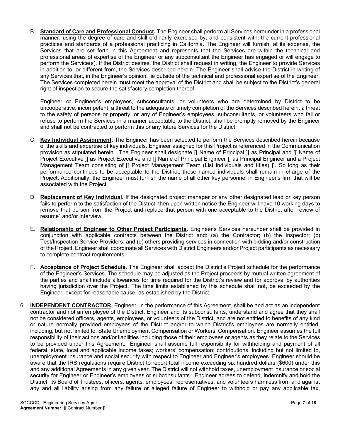B. **Standard of Care and Professional Conduct.** The Engineer shall perform all Services hereunder in a professional manner, using the degree of care and skill ordinarily exercised by, and consistent with, the current professional practices and standards of a professional practicing in California. The Engineer will furnish, at its expense, the Services that are set forth in this Agreement and represents that the Services are within the technical and professional areas of expertise of the Engineer or any subconsultant the Engineer has engaged or will engage to perform the Service(s). If the District desires, the District shall request in writing, the Engineer to provide Services in addition to, or different from, the Services described herein. The Engineer shall advise the District in writing of any Services that, in the Engineer's opinion, lie outside of the technical and professional expertise of the Engineer. The Services completed herein must meet the approval of the District and shall be subject to the District's general right of inspection to secure the satisfactory completion thereof.

Engineer or Engineer's employees, subconsultants, or volunteers who are determined by District to be uncooperative, incompetent, a threat to the adequate or timely completion of the Services described herein, a threat to the safety of persons or property, or any of Engineer's employees, subconsultants, or volunteers who fail or refuse to perform the Services in a manner acceptable to the District, shall be promptly removed by the Engineer and shall not be contracted to perform this or any future Services for the District.

- C. **Key Individual Assignment.** The Engineer has been selected to perform the Services described herein because of the skills and expertise of key individuals. Engineer assigned for this Project is referenced in the Communication provision as stipulated herein. The Engineer shall designate [[ Name of Principal ]] as Principal and [[ Name of Project Executive ]] as Project Executive and [[ Name of Principal Engineer ]] as Principal Engineer and a Project Management Team consisting of [[ Project Management Team (List individuals and titles) ]]. So long as their performance continues to be acceptable to the District, these named individuals shall remain in charge of the Project. Additionally, the Engineer must furnish the name of all other key personnel in Engineer's firm that will be associated with the Project.
- D. **Replacement of Key Individual.** If the designated project manager or any other designated lead or key person fails to perform to the satisfaction of the District, then upon written notice the Engineer will have 10 working days to remove that person from the Project and replace that person with one acceptable to the District after review of resume´ and/or interview.
- E. **Relationship of Engineer to Other Project Participants.** Engineer's Services hereunder shall be provided in conjunction with applicable contracts between the District and: (a) the Contractor; (b) the Inspector; (c) Test/Inspection Service Providers; and (d) others providing services in connection with bidding and/or construction of the Project. Engineer shall coordinate all Services with District Engineers and/or Project participants as necessary to complete contract requirements.
- F. **Acceptance of Project Schedule.** The Engineer shall accept the District's Project schedule for the performance of the Engineer's Services. The schedule may be adjusted as the Project proceeds by mutual written agreement of the parties and shall include allowances for time required for the District's review and for approval by authorities having jurisdiction over the Project. The time limits established by this schedule shall not, be exceeded by the Engineer, except for reasonable cause, as established by the District.
- 6. **INDEPENDENT CONTRACTOR.** Engineer, in the performance of this Agreement, shall be and act as an independent contractor and not an employee of the District. Engineer and its subconsultants, understand and agree that they shall not be considered officers, agents, employees, or volunteers of the District, and are not entitled to benefits of any kind or nature normally provided employees of the District and/or to which District's employees are normally entitled, including, but not limited to, State Unemployment Compensation or Workers' Compensation. Engineer assumes the full responsibility of their actions and/or liabilities including those of their employees or agents as they relate to the Services to be provided under this Agreement. Engineer shall assume full responsibility for withholding and payment of all federal, state, local and applicable income taxes; workers' compensation; contributions, including but not limited to, unemployment insurance and social security with respect to Engineer and Engineer's employees. Engineer should be aware that the IRS regulations require District to report total income exceeding six hundred dollars (\$600) under this and any additional Agreements in any given year. The District will not withhold taxes, unemployment insurance or social security for Engineer or Engineer's employees or subconsultants. Engineer agrees to defend, indemnify and hold the District, its Board of Trustees, officers, agents, employees, representatives, and volunteers harmless from and against any and all liability arising from any failure or alleged failure of Engineer to withhold or pay any applicable tax,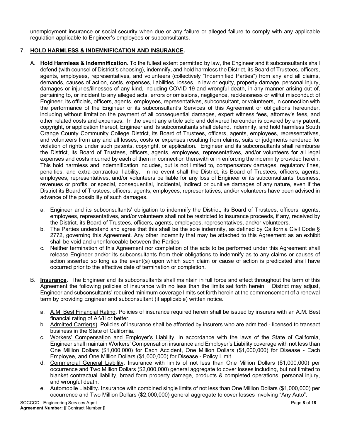unemployment insurance or social security when due or any failure or alleged failure to comply with any applicable regulation applicable to Engineer's employees or subconsultants.

#### 7. **HOLD HARMLESS & INDEMNIFICATION AND INSURANCE.**

- A. **Hold Harmless & Indemnification.** To the fullest extent permitted by law, the Engineer and it subconsultants shall defend (with counsel of District's choosing), indemnify, and hold harmless the District, its Board of Trustees, officers, agents, employees, representatives, and volunteers (collectively "Indemnified Parties") from any and all claims, demands, causes of action, costs, expenses, liabilities, losses, in law or equity, property damage, personal injury, damages or injuries/illnesses of any kind, including COVID-19 and wrongful death, in any manner arising out of, pertaining to, or incident to any alleged acts, errors or omissions, negligence, recklessness or willful misconduct of Engineer, its officials, officers, agents, employees, representatives, subconsultant, or volunteers, in connection with the performance of the Engineer or its subconsultant's Services of this Agreement or obligations hereunder, including without limitation the payment of all consequential damages, expert witness fees, attorney's fees, and other related costs and expenses. In the event any article sold and delivered hereunder is covered by any patent, copyright, or application thereof, Engineer and its subconsultants shall defend, indemnify, and hold harmless South Orange County Community College District, its Board of Trustees, officers, agents, employees, representatives, and volunteers from any and all losses, costs or expenses resulting from claims, suits or judgments rendered for violation of rights under such patents, copyright, or application. Engineer and its subconsultants shall reimburse the District, its Board of Trustees, officers, agents, employees, representatives, and/or volunteers for all legal expenses and costs incurred by each of them in connection therewith or in enforcing the indemnity provided herein. This hold harmless and indemnification includes, but is not limited to, compensatory damages, regulatory fines, penalties, and extra-contractual liability. In no event shall the District, its Board of Trustees, officers, agents, employees, representatives, and/or volunteers be liable for any loss of Engineer or its subconsultants' business, revenues or profits, or special, consequential, incidental, indirect or punitive damages of any nature, even if the District its Board of Trustees, officers, agents, employees, representatives, and/or volunteers have been advised in advance of the possibility of such damages.
	- a. Engineer and its subconsultants' obligation to indemnify the District, its Board of Trustees, officers, agents, employees, representatives, and/or volunteers shall not be restricted to insurance proceeds, if any, received by the District, its Board of Trustees, officers, agents, employees, representatives, and/or volunteers.
	- b. The Parties understand and agree that this shall be the sole indemnity, as defined by California Civil Code § 2772, governing this Agreement. Any other indemnity that may be attached to this Agreement as an exhibit shall be void and unenforceable between the Parties.
	- c. Neither termination of this Agreement nor completion of the acts to be performed under this Agreement shall release Engineer and/or its subconsultants from their obligations to indemnify as to any claims or causes of action asserted so long as the event(s) upon which such claim or cause of action is predicated shall have occurred prior to the effective date of termination or completion.
- B. **Insurance.** The Engineer and its subconsultants shall maintain in full force and effect throughout the term of this Agreement the following policies of insurance with no less than the limits set forth herein. District may adjust, Engineer and subconsultants' required minimum coverage limits set forth herein at the commencement of a renewal term by providing Engineer and subconsultant (if applicable) written notice.
	- a. A.M. Best Financial Rating. Policies of insurance required herein shall be issued by insurers with an A.M. Best financial rating of A:VII or better.
	- b. Admitted Carrier(s). Policies of insurance shall be afforded by insurers who are admitted licensed to transact business in the State of California.
	- c. Workers' Compensation and Employer's Liability. In accordance with the laws of the State of California, Engineer shall maintain Workers' Compensation insurance and Employer's Liability coverage with not less than One Million Dollars (\$1,000,000) for Each Accident, One Million Dollars (\$1,000,000) for Disease - Each Employee, and One Million Dollars (\$1,000,000) for Disease - Policy Limit.
	- d. Commercial General Liability. Insurance with limits of not less than One Million Dollars (\$1,000,000) per occurrence and Two Million Dollars (\$2,000,000) general aggregate to cover losses including, but not limited to blanket contractual liability, broad form property damage, products & completed operations, personal injury, and wrongful death.
	- e. Automobile Liability. Insurance with combined single limits of not less than One Million Dollars (\$1,000,000) per occurrence and Two Million Dollars (\$2,000,000) general aggregate to cover losses involving "Any Auto".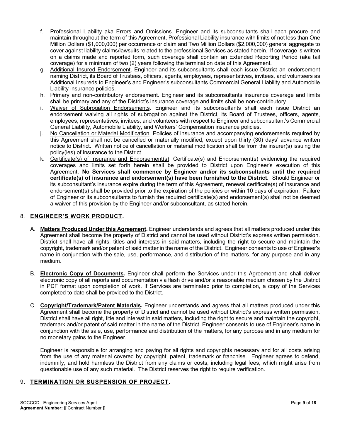- f. Professional Liability aka Errors and Omissions. Engineer and its subconsultants shall each procure and maintain throughout the term of this Agreement, Professional Liability insurance with limits of not less than One Million Dollars (\$1,000,000) per occurrence or claim and Two Million Dollars (\$2,000,000) general aggregate to cover against liability claims/lawsuits related to the professional Services as stated herein. If coverage is written on a claims made and reported form, such coverage shall contain an Extended Reporting Period (aka tail coverage) for a minimum of two (2) years following the termination date of this Agreement.
- g. Additional Insured Endorsement. Engineer and its subconsultants shall each issue District an endorsement naming District, its Board of Trustees, officers, agents, employees, representatives, invitees, and volunteers as Additional Insureds to Engineer's and Engineer's subconsultants Commercial General Liability and Automobile Liability insurance policies.
- h. Primary and non-contributory endorsement. Engineer and its subconsultants insurance coverage and limits shall be primary and any of the District's insurance coverage and limits shall be non-contributory.
- i. Waiver of Subrogation Endorsements. Engineer and its subconsultants shall each issue District an endorsement waiving all rights of subrogation against the District, its Board of Trustees, officers, agents, employees, representatives, invitees, and volunteers with respect to Engineer and subconsultant's Commercial General Liability, Automobile Liability, and Workers' Compensation insurance policies.
- j. No Cancellation or Material Modification. Policies of insurance and accompanying endorsements required by this Agreement shall not be cancelled or materially modified, except upon thirty (30) days' advance written notice to District. Written notice of cancellation or material modification shall be from the insurer(s) issuing the policy(ies) of insurance to the District.
- k. Certificate(s) of Insurance and Endorsement(s). Certificate(s) and Endorsement(s) evidencing the required coverages and limits set forth herein shall be provided to District upon Engineer's execution of this Agreement. **No Services shall commence by Engineer and/or its subconsultants until the required certificate(s) of insurance and endorsement(s) have been furnished to the District.** Should Engineer or its subconsultant's insurance expire during the term of this Agreement, renewal certificate(s) of insurance and endorsement(s) shall be provided prior to the expiration of the policies or within 10 days of expiration. Failure of Engineer or its subconsultants to furnish the required certificate(s) and endorsement(s) shall not be deemed a waiver of this provision by the Engineer and/or subconsultant, as stated herein.

#### 8. **ENGINEER'S WORK PRODUCT.**

- A. **Matters Produced Under this Agreement.** Engineer understands and agrees that all matters produced under this Agreement shall become the property of District and cannot be used without District's express written permission. District shall have all rights, titles and interests in said matters, including the right to secure and maintain the copyright, trademark and/or patent of said matter in the name of the District. Engineer consents to use of Engineer's name in conjunction with the sale, use, performance, and distribution of the matters, for any purpose and in any medium.
- B. **Electronic Copy of Documents.** Engineer shall perform the Services under this Agreement and shall deliver electronic copy of all reports and documentation via flash drive and/or a reasonable medium chosen by the District in PDF format upon completion of work. If Services are terminated prior to completion, a copy of the Services completed to date shall be provided to the District.
- C. **Copyright/Trademark/Patent Materials.** Engineer understands and agrees that all matters produced under this Agreement shall become the property of District and cannot be used without District's express written permission. District shall have all right, title and interest in said matters, including the right to secure and maintain the copyright, trademark and/or patent of said matter in the name of the District. Engineer consents to use of Engineer's name in conjunction with the sale, use, performance and distribution of the matters, for any purpose and in any medium for no monetary gains to the Engineer.

Engineer is responsible for arranging and paying for all rights and copyrights necessary and for all costs arising from the use of any material covered by copyright, patent, trademark or franchise. Engineer agrees to defend, indemnify, and hold harmless the District from any claims or costs, including legal fees, which might arise from questionable use of any such material. The District reserves the right to require verification.

#### 9. **TERMINATION OR SUSPENSION OF PROJECT.**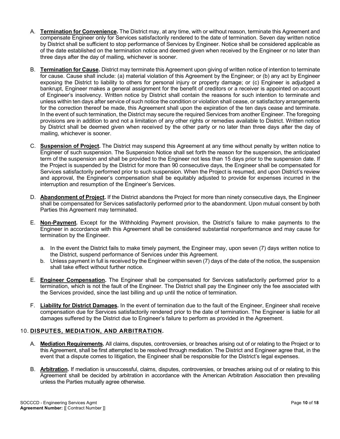- A. **Termination for Convenience.** The District may, at any time, with or without reason, terminate this Agreement and compensate Engineer only for Services satisfactorily rendered to the date of termination. Seven day written notice by District shall be sufficient to stop performance of Services by Engineer. Notice shall be considered applicable as of the date established on the termination notice and deemed given when received by the Engineer or no later than three days after the day of mailing, whichever is sooner.
- B. **Termination for Cause.** District may terminate this Agreement upon giving of written notice of intention to terminate for cause. Cause shall include: (a) material violation of this Agreement by the Engineer; or (b) any act by Engineer exposing the District to liability to others for personal injury or property damage; or (c) Engineer is adjudged a bankrupt, Engineer makes a general assignment for the benefit of creditors or a receiver is appointed on account of Engineer's insolvency. Written notice by District shall contain the reasons for such intention to terminate and unless within ten days after service of such notice the condition or violation shall cease, or satisfactory arrangements for the correction thereof be made, this Agreement shall upon the expiration of the ten days cease and terminate. In the event of such termination, the District may secure the required Services from another Engineer. The foregoing provisions are in addition to and not a limitation of any other rights or remedies available to District. Written notice by District shall be deemed given when received by the other party or no later than three days after the day of mailing, whichever is sooner.
- C. **Suspension of Project.** The District may suspend this Agreement at any time without penalty by written notice to Engineer of such suspension. The Suspension Notice shall set forth the reason for the suspension, the anticipated term of the suspension and shall be provided to the Engineer not less than 15 days prior to the suspension date. If the Project is suspended by the District for more than 90 consecutive days, the Engineer shall be compensated for Services satisfactorily performed prior to such suspension. When the Project is resumed, and upon District's review and approval, the Engineer's compensation shall be equitably adjusted to provide for expenses incurred in the interruption and resumption of the Engineer's Services.
- D. **Abandonment of Project.** If the District abandons the Project for more than ninety consecutive days, the Engineer shall be compensated for Services satisfactorily performed prior to the abandonment. Upon mutual consent by both Parties this Agreement may terminated.
- E. **Non-Payment.** Except for the Withholding Payment provision, the District's failure to make payments to the Engineer in accordance with this Agreement shall be considered substantial nonperformance and may cause for termination by the Engineer.
	- a. In the event the District fails to make timely payment, the Engineer may, upon seven (7) days written notice to the District, suspend performance of Services under this Agreement.
	- b. Unless payment in full is received by the Engineer within seven (7) days of the date of the notice, the suspension shall take effect without further notice.
- E. **Engineer Compensation.** The Engineer shall be compensated for Services satisfactorily performed prior to a termination, which is not the fault of the Engineer. The District shall pay the Engineer only the fee associated with the Services provided, since the last billing and up until the notice of termination.
- F. **Liability for District Damages.** In the event of termination due to the fault of the Engineer, Engineer shall receive compensation due for Services satisfactorily rendered prior to the date of termination. The Engineer is liable for all damages suffered by the District due to Engineer's failure to perform as provided in the Agreement.

#### 10. **DISPUTES, MEDIATION, AND ARBITRATION.**

- A. **Mediation Requirements.** All claims, disputes, controversies, or breaches arising out of or relating to the Project or to this Agreement, shall be first attempted to be resolved through mediation. The District and Engineer agree that, in the event that a dispute comes to litigation, the Engineer shall be responsible for the District's legal expenses.
- B. **Arbitration.** If mediation is unsuccessful, claims, disputes, controversies, or breaches arising out of or relating to this Agreement shall be decided by arbitration in accordance with the American Arbitration Association then prevailing unless the Parties mutually agree otherwise.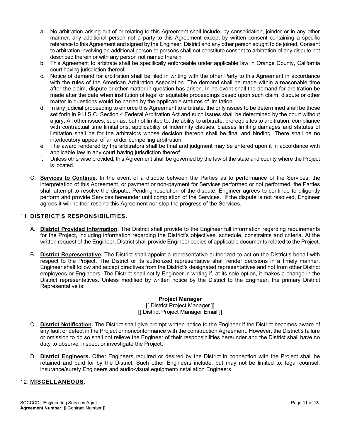- a. No arbitration arising out of or relating to this Agreement shall include, by consolidation, joinder or in any other manner, any additional person not a party to this Agreement except by written consent containing a specific reference to this Agreement and signed by the Engineer, District and any other person sought to be joined. Consent to arbitration involving an additional person or persons shall not constitute consent to arbitration of any dispute not described therein or with any person not named therein.
- b. This Agreement to arbitrate shall be specifically enforceable under applicable law in Orange County, California court having jurisdiction thereof.
- c. Notice of demand for arbitration shall be filed in writing with the other Party to this Agreement in accordance with the rules of the American Arbitration Association. The demand shall be made within a reasonable time after the claim, dispute or other matter in question has arisen. In no event shall the demand for arbitration be made after the date when institution of legal or equitable proceedings based upon such claim, dispute or other matter in questions would be barred by the applicable statutes of limitation.
- d. In any judicial proceeding to enforce this Agreement to arbitrate, the only issues to be determined shall be those set forth in 9 U.S.C. Section 4 Federal Arbitration Act and such issues shall be determined by the court without a jury. All other issues, such as, but not limited to, the ability to arbitrate, prerequisites to arbitration, compliance with contractual time limitations, applicability of indemnity clauses, clauses limiting damages and statutes of limitation shall be for the arbitrators whose decision thereon shall be final and binding. There shall be no interlocutory appeal of an order compelling arbitration.
- e. The award rendered by the arbitrators shall be final and judgment may be entered upon it in accordance with applicable law in any court having jurisdiction thereof.
- f. Unless otherwise provided, this Agreement shall be governed by the law of the state and county where the Project is located.
- C. **Services to Continue.** In the event of a dispute between the Parties as to performance of the Services, the interpretation of this Agreement, or payment or non-payment for Services performed or not performed, the Parties shall attempt to resolve the dispute. Pending resolution of the dispute, Engineer agrees to continue to diligently perform and provide Services hereunder until completion of the Services. If the dispute is not resolved, Engineer agrees it will neither rescind this Agreement nor stop the progress of the Services.

#### 11. **DISTRICT'S RESPONSIBILITIES.**

- A. **District Provided Information.** The District shall provide to the Engineer full information regarding requirements for the Project, including information regarding the District's objectives, schedule, constraints and criteria. At the written request of the Engineer, District shall provide Engineer copies of applicable documents related to the Project.
- B. **District Representative.** The District shall appoint a representative authorized to act on the District's behalf with respect to the Project. The District or its authorized representative shall render decisions in a timely manner. Engineer shall follow and accept directives from the District's designated representatives and not from other District employees or Engineers. The District shall notify Engineer in writing if, at its sole option, it makes a change in the District representatives. Unless modified by written notice by the District to the Engineer, the primary District Representative is:

#### **Project Manager** [[ District Project Manager ]] [[ District Project Manager Email ]]

- C. **District Notification.** The District shall give prompt written notice to the Engineer if the District becomes aware of any fault or defect in the Project or nonconformance with the construction Agreement. However, the District's failure or omission to do so shall not relieve the Engineer of their responsibilities hereunder and the District shall have no duty to observe, inspect or investigate the Project.
- D. **District Engineers.** Other Engineers required or desired by the District in connection with the Project shall be retained and paid for by the District. Such other Engineers include, but may not be limited to, legal counsel, insurance/surety Engineers and audio-visual equipment/installation Engineers.

#### 12. **MISCELLANEOUS.**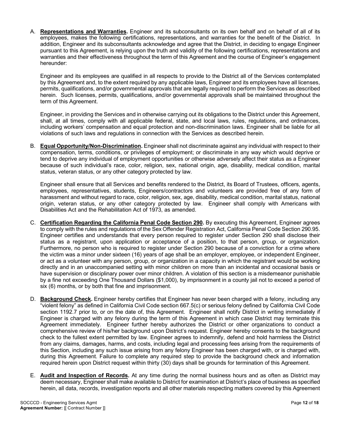A. **Representations and Warranties.** Engineer and its subconsultants on its own behalf and on behalf of all of its employees, makes the following certifications, representations, and warranties for the benefit of the District. In addition, Engineer and its subconsultants acknowledge and agree that the District, in deciding to engage Engineer pursuant to this Agreement, is relying upon the truth and validity of the following certifications, representations and warranties and their effectiveness throughout the term of this Agreement and the course of Engineer's engagement hereunder:

Engineer and its employees are qualified in all respects to provide to the District all of the Services contemplated by this Agreement and, to the extent required by any applicable laws, Engineer and its employees have all licenses, permits, qualifications, and/or governmental approvals that are legally required to perform the Services as described herein. Such licenses, permits, qualifications, and/or governmental approvals shall be maintained throughout the term of this Agreement.

Engineer, in providing the Services and in otherwise carrying out its obligations to the District under this Agreement, shall, at all times, comply with all applicable federal, state, and local laws, rules, regulations, and ordinances, including workers' compensation and equal protection and non-discrimination laws. Engineer shall be liable for all violations of such laws and regulations in connection with the Services as described herein.

B. **Equal Opportunity/Non-Discrimination.** Engineer shall not discriminate against any individual with respect to their compensation, terms, conditions, or privileges of employment; or discriminate in any way which would deprive or tend to deprive any individual of employment opportunities or otherwise adversely affect their status as a Engineer because of such individual's race, color, religion, sex, national origin, age, disability, medical condition, marital status, veteran status, or any other category protected by law.

Engineer shall ensure that all Services and benefits rendered to the District, its Board of Trustees, officers, agents, employees, representatives, students, Engineers/contractors and volunteers are provided free of any form of harassment and without regard to race, color, religion, sex, age, disability, medical condition, marital status, national origin, veteran status, or any other category protected by law. Engineer shall comply with Americans with Disabilities Act and the Rehabilitation Act of 1973, as amended.

- C. **Certification Regarding the California Penal Code Section 290.** By executing this Agreement, Engineer agrees to comply with the rules and regulations of the Sex Offender Registration Act, California Penal Code Section 290.95. Engineer certifies and understands that every person required to register under Section 290 shall disclose their status as a registrant, upon application or acceptance of a position, to that person, group, or organization. Furthermore, no person who is required to register under Section 290 because of a conviction for a crime where the victim was a minor under sixteen (16) years of age shall be an employer, employee, or independent Engineer, or act as a volunteer with any person, group, or organization in a capacity in which the registrant would be working directly and in an unaccompanied setting with minor children on more than an incidental and occasional basis or have supervision or disciplinary power over minor children. A violation of this section is a misdemeanor punishable by a fine not exceeding One Thousand Dollars (\$1,000), by imprisonment in a county jail not to exceed a period of six (6) months, or by both that fine and imprisonment.
- D. **Background Check.** Engineer hereby certifies that Engineer has never been charged with a felony, including any "violent felony" as defined in California Civil Code section 667.5(c) or serious felony defined by California Civil Code section 1192.7 prior to, or on the date of, this Agreement. Engineer shall notify District in writing immediately if Engineer is charged with any felony during the term of this Agreement in which case District may terminate this Agreement immediately. Engineer further hereby authorizes the District or other organizations to conduct a comprehensive review of his/her background upon District's request. Engineer hereby consents to the background check to the fullest extent permitted by law. Engineer agrees to indemnify, defend and hold harmless the District from any claims, damages, harms, and costs, including legal and processing fees arising from the requirements of this Section, including any such issue arising from any felony Engineer has been charged with, or is charged with, during this Agreement. Failure to complete any required step to provide the background check and information required herein upon District request within thirty (30) days shall be grounds for termination of this Agreement.
- E. **Audit and Inspection of Records.** At any time during the normal business hours and as often as District may deem necessary, Engineer shall make available to District for examination at District's place of business as specified herein, all data, records, investigation reports and all other materials respecting matters covered by this Agreement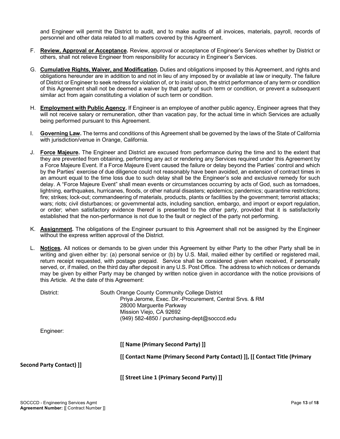and Engineer will permit the District to audit, and to make audits of all invoices, materials, payroll, records of personnel and other data related to all matters covered by this Agreement.

- F. **Review, Approval or Acceptance.** Review, approval or acceptance of Engineer's Services whether by District or others, shall not relieve Engineer from responsibility for accuracy in Engineer's Services.
- G. **Cumulative Rights, Waiver, and Modification.** Duties and obligations imposed by this Agreement, and rights and obligations hereunder are in addition to and not in lieu of any imposed by or available at law or inequity. The failure of District or Engineer to seek redress for violation of, or to insist upon, the strict performance of any term or condition of this Agreement shall not be deemed a waiver by that party of such term or condition, or prevent a subsequent similar act from again constituting a violation of such term or condition.
- H. **Employment with Public Agency.** If Engineer is an employee of another public agency, Engineer agrees that they will not receive salary or remuneration, other than vacation pay, for the actual time in which Services are actually being performed pursuant to this Agreement.
- I. **Governing Law.** The terms and conditions of this Agreement shall be governed by the laws of the State of California with jurisdiction/venue in Orange, California.
- J. **Force Majeure.** The Engineer and District are excused from performance during the time and to the extent that they are prevented from obtaining, performing any act or rendering any Services required under this Agreement by a Force Majeure Event. If a Force Majeure Event caused the failure or delay beyond the Parties' control and which by the Parties' exercise of due diligence could not reasonably have been avoided, an extension of contract times in an amount equal to the time loss due to such delay shall be the Engineer's sole and exclusive remedy for such delay. A "Force Majeure Event" shall mean events or circumstances occurring by acts of God, such as tornadoes, lightning, earthquakes, hurricanes, floods, or other natural disasters; epidemics; pandemics; quarantine restrictions; fire; strikes; lock-out; commandeering of materials, products, plants or facilities by the government; terrorist attacks; wars; riots; civil disturbances; or governmental acts, including sanction, embargo, and import or export regulation, or order; when satisfactory evidence thereof is presented to the other party, provided that it is satisfactorily established that the non-performance is not due to the fault or neglect of the party not performing.
- K. **Assignment.** The obligations of the Engineer pursuant to this Agreement shall not be assigned by the Engineer without the express written approval of the District.
- L. **Notices.** All notices or demands to be given under this Agreement by either Party to the other Party shall be in writing and given either by: (a) personal service or (b) by U.S. Mail, mailed either by certified or registered mail, return receipt requested, with postage prepaid. Service shall be considered given when received, if personally served, or, if mailed, on the third day after deposit in any U.S. Post Office. The address to which notices or demands may be given by either Party may be changed by written notice given in accordance with the notice provisions of this Article. At the date of this Agreement:

| District:                       | South Orange County Community College District                               |  |  |
|---------------------------------|------------------------------------------------------------------------------|--|--|
|                                 | Priya Jerome, Exec. Dir.-Procurement, Central Srvs. & RM                     |  |  |
|                                 | 28000 Marguerite Parkway                                                     |  |  |
|                                 | Mission Viejo, CA 92692                                                      |  |  |
|                                 | (949) 582-4850 / purchasing-dept@socccd.edu                                  |  |  |
| Engineer:                       |                                                                              |  |  |
|                                 | [[ Name (Primary Second Party) ]]                                            |  |  |
|                                 | [[ Contact Name (Primary Second Party Contact) ]], [[ Contact Title (Primary |  |  |
| <b>Second Party Contact) ]]</b> |                                                                              |  |  |
|                                 | [[ Street Line 1 (Primary Second Party) ]]                                   |  |  |
|                                 |                                                                              |  |  |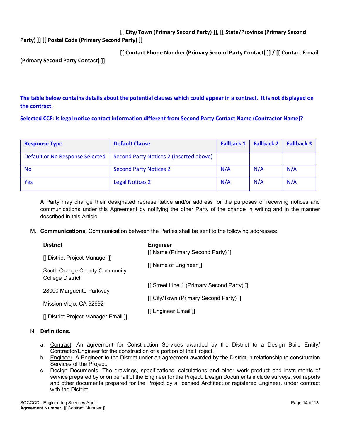**[[ City/Town (Primary Second Party) ]]**, **[[ State/Province (Primary Second Party) ]] [[ Postal Code (Primary Second Party) ]]**

|                                   | [[ Contact Phone Number (Primary Second Party Contact) ]] / [[ Contact E-mail |
|-----------------------------------|-------------------------------------------------------------------------------|
| (Primary Second Party Contact) ]] |                                                                               |

**The table below contains details about the potential clauses which could appear in a contract. It is not displayed on the contract.**

**Selected CCF: Is legal notice contact information different from Second Party Contact Name (Contractor Name)?**

| <b>Response Type</b>            | <b>Default Clause</b>                   | <b>Fallback 1</b> | <b>Fallback 2</b> | <b>Fallback 3</b> |
|---------------------------------|-----------------------------------------|-------------------|-------------------|-------------------|
| Default or No Response Selected | Second Party Notices 2 (inserted above) |                   |                   |                   |
| No.                             | <b>Second Party Notices 2</b>           | N/A               | N/A               | N/A               |
| Yes                             | <b>Legal Notices 2</b>                  | N/A               | N/A               | N/A               |

A Party may change their designated representative and/or address for the purposes of receiving notices and communications under this Agreement by notifying the other Party of the change in writing and in the manner described in this Article.

M. **Communications.** Communication between the Parties shall be sent to the following addresses:

| <b>District</b>                                   | <b>Engineer</b>                            |  |
|---------------------------------------------------|--------------------------------------------|--|
| [[ District Project Manager ]]                    | [[ Name (Primary Second Party) ]]          |  |
| South Orange County Community<br>College District | [[ Name of Engineer ]]                     |  |
| 28000 Marguerite Parkway                          | [[ Street Line 1 (Primary Second Party) ]] |  |
| Mission Viejo, CA 92692                           | [[ City/Town (Primary Second Party) ]]     |  |
| [[ District Project Manager Email ]]              | [[ Engineer Email ]]                       |  |
|                                                   |                                            |  |

#### N. **Definitions.**

- a. Contract. An agreement for Construction Services awarded by the District to a Design Build Entity/ Contractor/Engineer for the construction of a portion of the Project.
- b. Engineer. A Engineer to the District under an agreement awarded by the District in relationship to construction Services of the Project.
- c. Design Documents. The drawings, specifications, calculations and other work product and instruments of service prepared by or on behalf of the Engineer for the Project. Design Documents include surveys, soil reports and other documents prepared for the Project by a licensed Architect or registered Engineer, under contract with the District.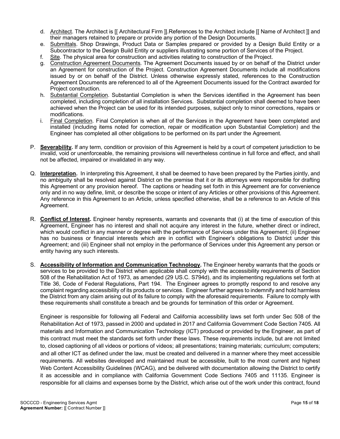- d. Architect. The Architect is [[ Architectural Firm ]].References to the Architect include [[ Name of Architect ]] and their managers retained to prepare or provide any portion of the Design Documents.
- e. Submittals. Shop Drawings, Product Data or Samples prepared or provided by a Design Build Entity or a Subcontractor to the Design Build Entity or suppliers illustrating some portion of Services of the Project.
- f. Site. The physical area for construction and activities relating to construction of the Project.
- g. Construction Agreement Documents. The Agreement Documents issued by or on behalf of the District under an Agreement for construction of the Project. Construction Agreement Documents include all modifications issued by or on behalf of the District. Unless otherwise expressly stated, references to the Construction Agreement Documents are referenced to all of the Agreement Documents issued for the Contract awarded for Project construction.
- h. Substantial Completion. Substantial Completion is when the Services identified in the Agreement has been completed, including completion of all installation Services. Substantial completion shall deemed to have been achieved when the Project can be used for its intended purposes, subject only to minor corrections, repairs or modifications.
- i. Final Completion. Final Completion is when all of the Services in the Agreement have been completed and installed (including items noted for correction, repair or modification upon Substantial Completion) and the Engineer has completed all other obligations to be performed on its part under the Agreement.
- P. **Severability.** If any term, condition or provision of this Agreement is held by a court of competent jurisdiction to be invalid, void or unenforceable, the remaining provisions will nevertheless continue in full force and effect, and shall not be affected, impaired or invalidated in any way.
- Q. **Interpretation.** In interpreting this Agreement, it shall be deemed to have been prepared by the Parties jointly, and no ambiguity shall be resolved against District on the premise that it or its attorneys were responsible for drafting this Agreement or any provision hereof. The captions or heading set forth in this Agreement are for convenience only and in no way define, limit, or describe the scope or intent of any Articles or other provisions of this Agreement. Any reference in this Agreement to an Article, unless specified otherwise, shall be a reference to an Article of this Agreement.
- R. **Conflict of Interest.** Engineer hereby represents, warrants and covenants that (i) at the time of execution of this Agreement, Engineer has no interest and shall not acquire any interest in the future, whether direct or indirect, which would conflict in any manner or degree with the performance of Services under this Agreement; (ii) Engineer has no business or financial interests which are in conflict with Engineer's obligations to District under this Agreement; and (iii) Engineer shall not employ in the performance of Services under this Agreement any person or entity having any such interests.
- S. **Accessibility of Information and Communication Technology.** The Engineer hereby warrants that the goods or services to be provided to the District when applicable shall comply with the accessibility requirements of Section 508 of the Rehabilitation Act of 1973, as amended (29 US.C. S794d), and its implementing regulations set forth at Title 36, Code of Federal Regulations, Part 194. The Engineer agrees to promptly respond to and resolve any complaint regarding accessibility of its products or services. Engineer further agrees to indemnify and hold harmless the District from any claim arising out of its failure to comply with the aforesaid requirements. Failure to comply with these requirements shall constitute a breach and be grounds for termination of this order or Agreement.

Engineer is responsible for following all Federal and California accessibility laws set forth under Sec 508 of the Rehabilitation Act of 1973, passed in 2000 and updated in 2017 and California Government Code Section 7405. All materials and Information and Communication Technology (ICT) produced or provided by the Engineer, as part of this contract must meet the standards set forth under these laws. These requirements include, but are not limited to, closed captioning of all videos or portions of videos; all presentations; training materials; curriculum; computers; and all other ICT as defined under the law, must be created and delivered in a manner where they meet accessible requirements. All websites developed and maintained must be accessible, built to the most current and highest Web Content Accessibility Guidelines (WCAG), and be delivered with documentation allowing the District to certify it as accessible and in compliance with California Government Code Sections 7405 and 11135. Engineer is responsible for all claims and expenses borne by the District, which arise out of the work under this contract, found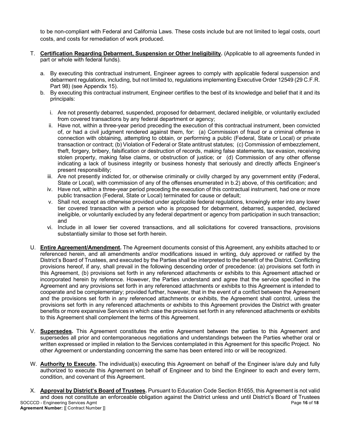to be non-compliant with Federal and California Laws. These costs include but are not limited to legal costs, court costs, and costs for remediation of work produced.

- T. **Certification Regarding Debarment, Suspension or Other Ineligibility.** (Applicable to all agreements funded in part or whole with federal funds).
	- a. By executing this contractual instrument, Engineer agrees to comply with applicable federal suspension and debarment regulations, including, but not limited to, regulations implementing Executive Order 12549 (29 C.F.R. Part 98) (see Appendix 15).
	- b. By executing this contractual instrument, Engineer certifies to the best of its knowledge and belief that it and its principals:
		- i. Are not presently debarred, suspended, proposed for debarment, declared ineligible, or voluntarily excluded from covered transactions by any federal department or agency;
		- ii. Have not, within a three-year period preceding the execution of this contractual instrument, been convicted of, or had a civil judgment rendered against them, for: (a) Commission of fraud or a criminal offense in connection with obtaining, attempting to obtain, or performing a public (Federal, State or Local) or private transaction or contract; (b) Violation of Federal or State antitrust statutes; (c) Commission of embezzlement, theft, forgery, bribery, falsification or destruction of records, making false statements, tax evasion, receiving stolen property, making false claims, or obstruction of justice; or (d) Commission of any other offense indicating a lack of business integrity or business honesty that seriously and directly affects Engineer's present responsibility;
		- iii. Are not presently indicted for, or otherwise criminally or civilly charged by any government entity (Federal, State or Local), with commission of any of the offenses enumerated in b.2) above, of this certification; and
		- iv. Have not, within a three-year period preceding the execution of this contractual instrument, had one or more public transaction (Federal, State or Local) terminated for cause or default;
		- v. Shall not, except as otherwise provided under applicable federal regulations, knowingly enter into any lower tier covered transaction with a person who is proposed for debarment, debarred, suspended, declared ineligible, or voluntarily excluded by any federal department or agency from participation in such transaction; and
		- vi. Include in all lower tier covered transactions, and all solicitations for covered transactions, provisions substantially similar to those set forth herein.
- U. **Entire Agreement/Amendment.** The Agreement documents consist of this Agreement, any exhibits attached to or referenced herein, and all amendments and/or modifications issued in writing, duly approved or ratified by the District's Board of Trustees, and executed by the Parties shall be interpreted to the benefit of the District. Conflicting provisions hereof, if any, shall prevail in the following descending order of precedence: (a) provisions set forth in this Agreement, (b) provisions set forth in any referenced attachments or exhibits to this Agreement attached or incorporated herein by reference. However, the Parties understand and agree that the service specified in the Agreement and any provisions set forth in any referenced attachments or exhibits to this Agreement is intended to cooperate and be complementary; provided further, however, that in the event of a conflict between the Agreement and the provisions set forth in any referenced attachments or exhibits, the Agreement shall control, unless the provisions set forth in any referenced attachments or exhibits to this Agreement provides the District with greater benefits or more expansive Services in which case the provisions set forth in any referenced attachments or exhibits to this Agreement shall complement the terms of this Agreement.
- V. **Supersedes.** This Agreement constitutes the entire Agreement between the parties to this Agreement and supersedes all prior and contemporaneous negotiations and understandings between the Parties whether oral or written expressed or implied in relation to the Services contemplated in this Agreement for this specific Project. No other Agreement or understanding concerning the same has been entered into or will be recognized.
- W. **Authority to Execute.** The individual(s) executing this Agreement on behalf of the Engineer is/are duly and fully authorized to execute this Agreement on behalf of Engineer and to bind the Engineer to each and every term, condition, and covenant of this Agreement.
- SOCCCD Engineering Services Agmt Page **16** of **18 Agreement Number:** [[ Contract Number ]] X. **Approval by District's Board of Trustees.** Pursuant to Education Code Section 81655, this Agreement is not valid and does not constitute an enforceable obligation against the District unless and until District's Board of Trustees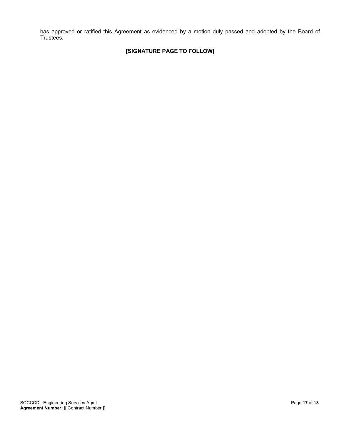has approved or ratified this Agreement as evidenced by a motion duly passed and adopted by the Board of Trustees.

## **[SIGNATURE PAGE TO FOLLOW]**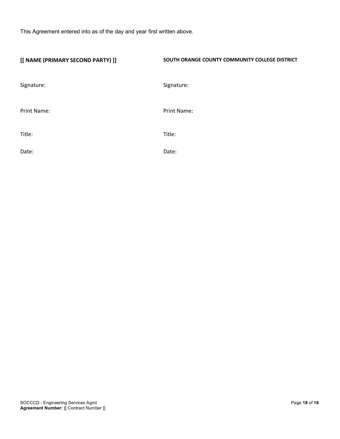This Agreement entered into as of the day and year first written above.

| [[ NAME (PRIMARY SECOND PARTY) ]] | SOUTH ORANGE COUNTY COMMUNITY COLLEGE DISTRICT |
|-----------------------------------|------------------------------------------------|
| Signature:                        | Signature:                                     |
| Print Name:                       | Print Name:                                    |
| Title:                            | Title:                                         |
| Date:                             | Date:                                          |